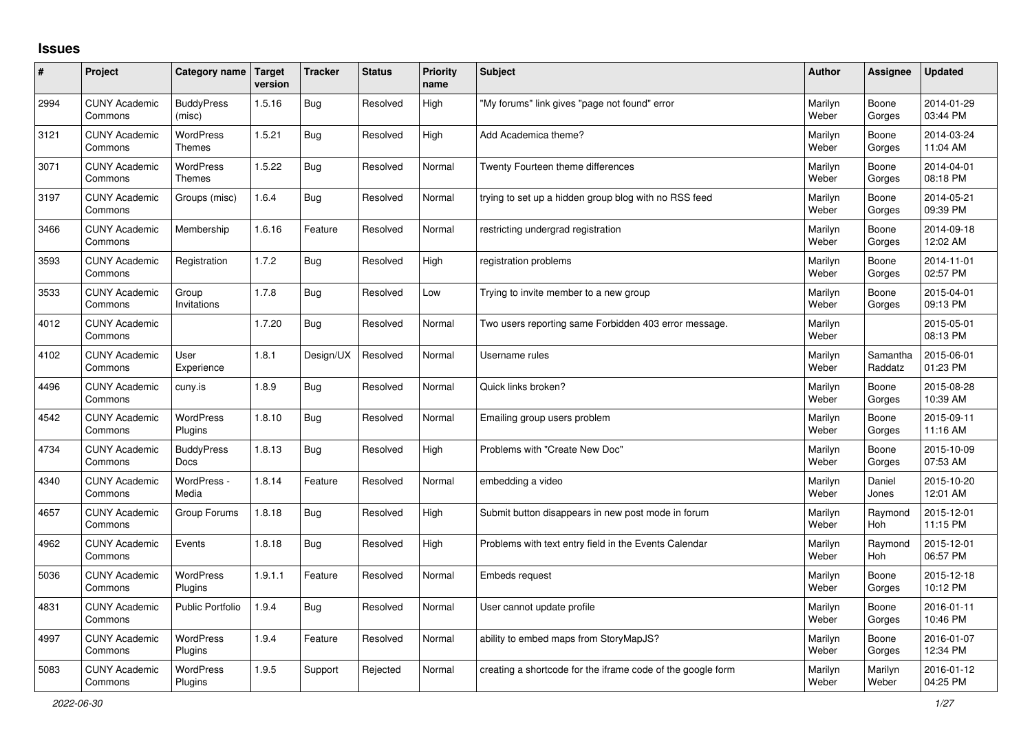## **Issues**

| #    | Project                         | Category name                    | Target<br>version | <b>Tracker</b> | <b>Status</b> | Priority<br>name | <b>Subject</b>                                              | <b>Author</b>    | Assignee            | <b>Updated</b>         |
|------|---------------------------------|----------------------------------|-------------------|----------------|---------------|------------------|-------------------------------------------------------------|------------------|---------------------|------------------------|
| 2994 | <b>CUNY Academic</b><br>Commons | <b>BuddyPress</b><br>(misc)      | 1.5.16            | <b>Bug</b>     | Resolved      | High             | "My forums" link gives "page not found" error               | Marilyn<br>Weber | Boone<br>Gorges     | 2014-01-29<br>03:44 PM |
| 3121 | <b>CUNY Academic</b><br>Commons | WordPress<br>Themes              | 1.5.21            | Bug            | Resolved      | High             | Add Academica theme?                                        | Marilyn<br>Weber | Boone<br>Gorges     | 2014-03-24<br>11:04 AM |
| 3071 | <b>CUNY Academic</b><br>Commons | <b>WordPress</b><br>Themes       | 1.5.22            | Bug            | Resolved      | Normal           | Twenty Fourteen theme differences                           | Marilyn<br>Weber | Boone<br>Gorges     | 2014-04-01<br>08:18 PM |
| 3197 | <b>CUNY Academic</b><br>Commons | Groups (misc)                    | 1.6.4             | <b>Bug</b>     | Resolved      | Normal           | trying to set up a hidden group blog with no RSS feed       | Marilyn<br>Weber | Boone<br>Gorges     | 2014-05-21<br>09:39 PM |
| 3466 | <b>CUNY Academic</b><br>Commons | Membership                       | 1.6.16            | Feature        | Resolved      | Normal           | restricting undergrad registration                          | Marilyn<br>Weber | Boone<br>Gorges     | 2014-09-18<br>12:02 AM |
| 3593 | <b>CUNY Academic</b><br>Commons | Registration                     | 1.7.2             | Bug            | Resolved      | High             | registration problems                                       | Marilyn<br>Weber | Boone<br>Gorges     | 2014-11-01<br>02:57 PM |
| 3533 | <b>CUNY Academic</b><br>Commons | Group<br>Invitations             | 1.7.8             | Bug            | Resolved      | Low              | Trying to invite member to a new group                      | Marilyn<br>Weber | Boone<br>Gorges     | 2015-04-01<br>09:13 PM |
| 4012 | <b>CUNY Academic</b><br>Commons |                                  | 1.7.20            | Bug            | Resolved      | Normal           | Two users reporting same Forbidden 403 error message.       | Marilyn<br>Weber |                     | 2015-05-01<br>08:13 PM |
| 4102 | <b>CUNY Academic</b><br>Commons | User<br>Experience               | 1.8.1             | Design/UX      | Resolved      | Normal           | Username rules                                              | Marilyn<br>Weber | Samantha<br>Raddatz | 2015-06-01<br>01:23 PM |
| 4496 | <b>CUNY Academic</b><br>Commons | cuny.is                          | 1.8.9             | Bug            | Resolved      | Normal           | Quick links broken?                                         | Marilyn<br>Weber | Boone<br>Gorges     | 2015-08-28<br>10:39 AM |
| 4542 | <b>CUNY Academic</b><br>Commons | WordPress<br>Plugins             | 1.8.10            | <b>Bug</b>     | Resolved      | Normal           | Emailing group users problem                                | Marilyn<br>Weber | Boone<br>Gorges     | 2015-09-11<br>11:16 AM |
| 4734 | <b>CUNY Academic</b><br>Commons | <b>BuddyPress</b><br><b>Docs</b> | 1.8.13            | <b>Bug</b>     | Resolved      | High             | Problems with "Create New Doc"                              | Marilyn<br>Weber | Boone<br>Gorges     | 2015-10-09<br>07:53 AM |
| 4340 | <b>CUNY Academic</b><br>Commons | WordPress -<br>Media             | 1.8.14            | Feature        | Resolved      | Normal           | embedding a video                                           | Marilyn<br>Weber | Daniel<br>Jones     | 2015-10-20<br>12:01 AM |
| 4657 | <b>CUNY Academic</b><br>Commons | Group Forums                     | 1.8.18            | Bug            | Resolved      | High             | Submit button disappears in new post mode in forum          | Marilyn<br>Weber | Raymond<br>Hoh      | 2015-12-01<br>11:15 PM |
| 4962 | <b>CUNY Academic</b><br>Commons | Events                           | 1.8.18            | <b>Bug</b>     | Resolved      | High             | Problems with text entry field in the Events Calendar       | Marilyn<br>Weber | Raymond<br>Hoh      | 2015-12-01<br>06:57 PM |
| 5036 | <b>CUNY Academic</b><br>Commons | WordPress<br>Plugins             | 1.9.1.1           | Feature        | Resolved      | Normal           | Embeds request                                              | Marilyn<br>Weber | Boone<br>Gorges     | 2015-12-18<br>10:12 PM |
| 4831 | <b>CUNY Academic</b><br>Commons | <b>Public Portfolio</b>          | 1.9.4             | Bug            | Resolved      | Normal           | User cannot update profile                                  | Marilyn<br>Weber | Boone<br>Gorges     | 2016-01-11<br>10:46 PM |
| 4997 | <b>CUNY Academic</b><br>Commons | WordPress<br>Plugins             | 1.9.4             | Feature        | Resolved      | Normal           | ability to embed maps from StoryMapJS?                      | Marilyn<br>Weber | Boone<br>Gorges     | 2016-01-07<br>12:34 PM |
| 5083 | <b>CUNY Academic</b><br>Commons | <b>WordPress</b><br>Plugins      | 1.9.5             | Support        | Rejected      | Normal           | creating a shortcode for the iframe code of the google form | Marilyn<br>Weber | Marilyn<br>Weber    | 2016-01-12<br>04:25 PM |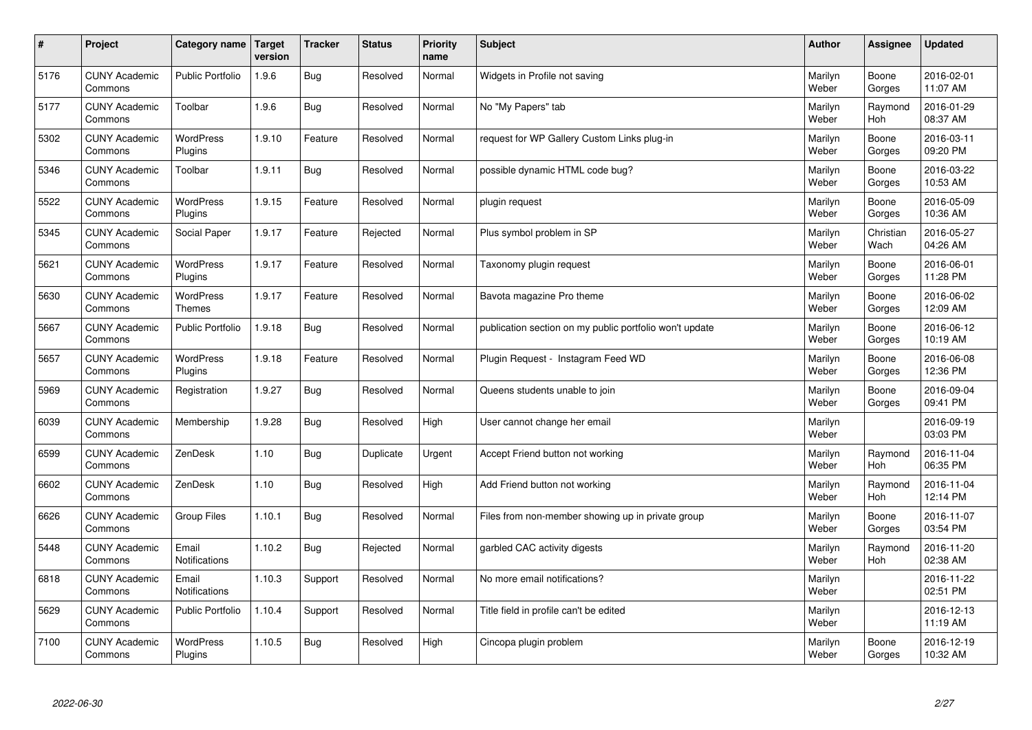| $\vert$ # | Project                         | Category name   Target            | version | <b>Tracker</b> | <b>Status</b> | <b>Priority</b><br>name | <b>Subject</b>                                          | <b>Author</b>    | Assignee              | <b>Updated</b>         |
|-----------|---------------------------------|-----------------------------------|---------|----------------|---------------|-------------------------|---------------------------------------------------------|------------------|-----------------------|------------------------|
| 5176      | <b>CUNY Academic</b><br>Commons | <b>Public Portfolio</b>           | 1.9.6   | Bug            | Resolved      | Normal                  | Widgets in Profile not saving                           | Marilyn<br>Weber | Boone<br>Gorges       | 2016-02-01<br>11:07 AM |
| 5177      | <b>CUNY Academic</b><br>Commons | Toolbar                           | 1.9.6   | <b>Bug</b>     | Resolved      | Normal                  | No "My Papers" tab                                      | Marilyn<br>Weber | Raymond<br>Hoh        | 2016-01-29<br>08:37 AM |
| 5302      | <b>CUNY Academic</b><br>Commons | <b>WordPress</b><br>Plugins       | 1.9.10  | Feature        | Resolved      | Normal                  | request for WP Gallery Custom Links plug-in             | Marilyn<br>Weber | Boone<br>Gorges       | 2016-03-11<br>09:20 PM |
| 5346      | <b>CUNY Academic</b><br>Commons | Toolbar                           | 1.9.11  | Bug            | Resolved      | Normal                  | possible dynamic HTML code bug?                         | Marilyn<br>Weber | Boone<br>Gorges       | 2016-03-22<br>10:53 AM |
| 5522      | <b>CUNY Academic</b><br>Commons | WordPress<br>Plugins              | 1.9.15  | Feature        | Resolved      | Normal                  | plugin request                                          | Marilyn<br>Weber | Boone<br>Gorges       | 2016-05-09<br>10:36 AM |
| 5345      | <b>CUNY Academic</b><br>Commons | Social Paper                      | 1.9.17  | Feature        | Rejected      | Normal                  | Plus symbol problem in SP                               | Marilyn<br>Weber | Christian<br>Wach     | 2016-05-27<br>04:26 AM |
| 5621      | <b>CUNY Academic</b><br>Commons | WordPress<br>Plugins              | 1.9.17  | Feature        | Resolved      | Normal                  | Taxonomy plugin request                                 | Marilyn<br>Weber | Boone<br>Gorges       | 2016-06-01<br>11:28 PM |
| 5630      | <b>CUNY Academic</b><br>Commons | <b>WordPress</b><br><b>Themes</b> | 1.9.17  | Feature        | Resolved      | Normal                  | Bavota magazine Pro theme                               | Marilyn<br>Weber | Boone<br>Gorges       | 2016-06-02<br>12:09 AM |
| 5667      | <b>CUNY Academic</b><br>Commons | <b>Public Portfolio</b>           | 1.9.18  | Bug            | Resolved      | Normal                  | publication section on my public portfolio won't update | Marilyn<br>Weber | Boone<br>Gorges       | 2016-06-12<br>10:19 AM |
| 5657      | <b>CUNY Academic</b><br>Commons | WordPress<br>Plugins              | 1.9.18  | Feature        | Resolved      | Normal                  | Plugin Request - Instagram Feed WD                      | Marilyn<br>Weber | Boone<br>Gorges       | 2016-06-08<br>12:36 PM |
| 5969      | <b>CUNY Academic</b><br>Commons | Registration                      | 1.9.27  | Bug            | Resolved      | Normal                  | Queens students unable to join                          | Marilyn<br>Weber | Boone<br>Gorges       | 2016-09-04<br>09:41 PM |
| 6039      | <b>CUNY Academic</b><br>Commons | Membership                        | 1.9.28  | <b>Bug</b>     | Resolved      | High                    | User cannot change her email                            | Marilyn<br>Weber |                       | 2016-09-19<br>03:03 PM |
| 6599      | <b>CUNY Academic</b><br>Commons | ZenDesk                           | 1.10    | Bug            | Duplicate     | Urgent                  | Accept Friend button not working                        | Marilyn<br>Weber | Raymond<br>Hoh        | 2016-11-04<br>06:35 PM |
| 6602      | <b>CUNY Academic</b><br>Commons | ZenDesk                           | 1.10    | Bug            | Resolved      | High                    | Add Friend button not working                           | Marilyn<br>Weber | Raymond<br><b>Hoh</b> | 2016-11-04<br>12:14 PM |
| 6626      | <b>CUNY Academic</b><br>Commons | <b>Group Files</b>                | 1.10.1  | Bug            | Resolved      | Normal                  | Files from non-member showing up in private group       | Marilyn<br>Weber | Boone<br>Gorges       | 2016-11-07<br>03:54 PM |
| 5448      | <b>CUNY Academic</b><br>Commons | Email<br>Notifications            | 1.10.2  | Bug            | Rejected      | Normal                  | garbled CAC activity digests                            | Marilyn<br>Weber | Raymond<br><b>Hoh</b> | 2016-11-20<br>02:38 AM |
| 6818      | <b>CUNY Academic</b><br>Commons | Email<br>Notifications            | 1.10.3  | Support        | Resolved      | Normal                  | No more email notifications?                            | Marilyn<br>Weber |                       | 2016-11-22<br>02:51 PM |
| 5629      | <b>CUNY Academic</b><br>Commons | <b>Public Portfolio</b>           | 1.10.4  | Support        | Resolved      | Normal                  | Title field in profile can't be edited                  | Marilyn<br>Weber |                       | 2016-12-13<br>11:19 AM |
| 7100      | <b>CUNY Academic</b><br>Commons | <b>WordPress</b><br>Plugins       | 1.10.5  | Bug            | Resolved      | High                    | Cincopa plugin problem                                  | Marilyn<br>Weber | Boone<br>Gorges       | 2016-12-19<br>10:32 AM |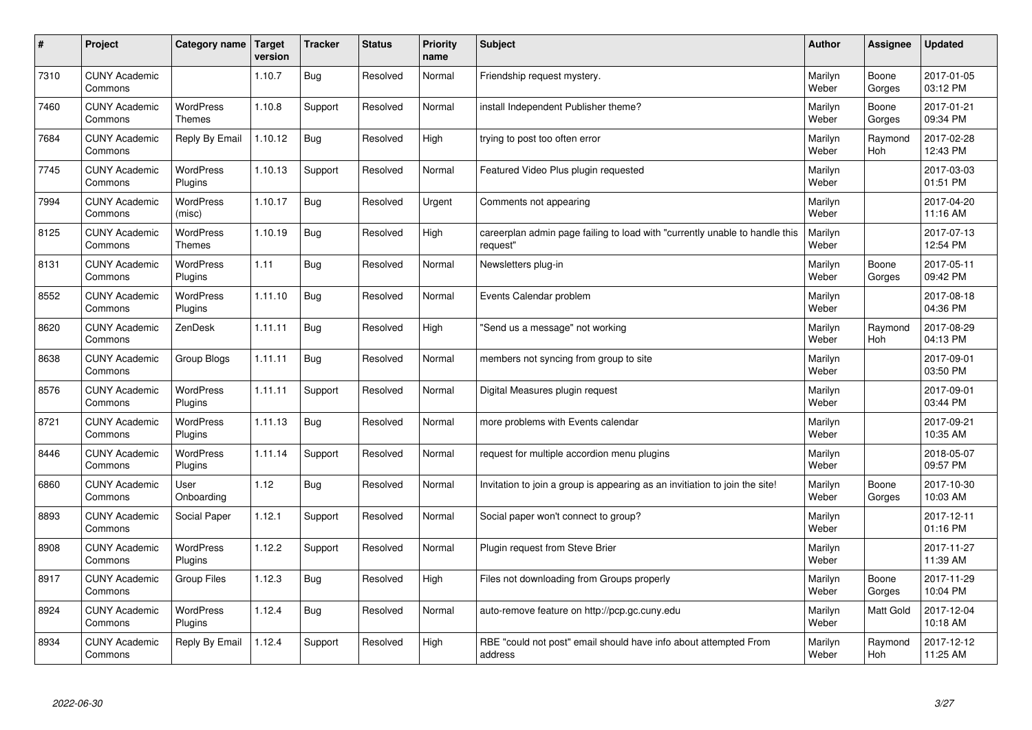| #    | Project                         | Category name                     | Target<br>version | <b>Tracker</b> | <b>Status</b> | <b>Priority</b><br>name | <b>Subject</b>                                                                          | <b>Author</b>    | Assignee              | <b>Updated</b>         |
|------|---------------------------------|-----------------------------------|-------------------|----------------|---------------|-------------------------|-----------------------------------------------------------------------------------------|------------------|-----------------------|------------------------|
| 7310 | <b>CUNY Academic</b><br>Commons |                                   | 1.10.7            | Bug            | Resolved      | Normal                  | Friendship request mystery.                                                             | Marilyn<br>Weber | Boone<br>Gorges       | 2017-01-05<br>03:12 PM |
| 7460 | <b>CUNY Academic</b><br>Commons | <b>WordPress</b><br><b>Themes</b> | 1.10.8            | Support        | Resolved      | Normal                  | install Independent Publisher theme?                                                    | Marilyn<br>Weber | Boone<br>Gorges       | 2017-01-21<br>09:34 PM |
| 7684 | <b>CUNY Academic</b><br>Commons | Reply By Email                    | 1.10.12           | Bug            | Resolved      | High                    | trying to post too often error                                                          | Marilyn<br>Weber | Raymond<br><b>Hoh</b> | 2017-02-28<br>12:43 PM |
| 7745 | <b>CUNY Academic</b><br>Commons | <b>WordPress</b><br>Plugins       | 1.10.13           | Support        | Resolved      | Normal                  | Featured Video Plus plugin requested                                                    | Marilyn<br>Weber |                       | 2017-03-03<br>01:51 PM |
| 7994 | <b>CUNY Academic</b><br>Commons | <b>WordPress</b><br>(misc)        | 1.10.17           | Bug            | Resolved      | Urgent                  | Comments not appearing                                                                  | Marilyn<br>Weber |                       | 2017-04-20<br>11:16 AM |
| 8125 | <b>CUNY Academic</b><br>Commons | WordPress<br><b>Themes</b>        | 1.10.19           | <b>Bug</b>     | Resolved      | High                    | careerplan admin page failing to load with "currently unable to handle this<br>reauest" | Marilyn<br>Weber |                       | 2017-07-13<br>12:54 PM |
| 8131 | <b>CUNY Academic</b><br>Commons | <b>WordPress</b><br>Plugins       | 1.11              | Bug            | Resolved      | Normal                  | Newsletters plug-in                                                                     | Marilyn<br>Weber | Boone<br>Gorges       | 2017-05-11<br>09:42 PM |
| 8552 | <b>CUNY Academic</b><br>Commons | WordPress<br>Plugins              | 1.11.10           | Bug            | Resolved      | Normal                  | Events Calendar problem                                                                 | Marilyn<br>Weber |                       | 2017-08-18<br>04:36 PM |
| 8620 | <b>CUNY Academic</b><br>Commons | ZenDesk                           | 1.11.11           | Bug            | Resolved      | High                    | "Send us a message" not working                                                         | Marilyn<br>Weber | Raymond<br><b>Hoh</b> | 2017-08-29<br>04:13 PM |
| 8638 | <b>CUNY Academic</b><br>Commons | Group Blogs                       | 1.11.11           | Bug            | Resolved      | Normal                  | members not syncing from group to site                                                  | Marilyn<br>Weber |                       | 2017-09-01<br>03:50 PM |
| 8576 | <b>CUNY Academic</b><br>Commons | WordPress<br>Plugins              | 1.11.11           | Support        | Resolved      | Normal                  | Digital Measures plugin request                                                         | Marilyn<br>Weber |                       | 2017-09-01<br>03:44 PM |
| 8721 | <b>CUNY Academic</b><br>Commons | WordPress<br>Plugins              | 1.11.13           | <b>Bug</b>     | Resolved      | Normal                  | more problems with Events calendar                                                      | Marilyn<br>Weber |                       | 2017-09-21<br>10:35 AM |
| 8446 | <b>CUNY Academic</b><br>Commons | WordPress<br>Plugins              | 1.11.14           | Support        | Resolved      | Normal                  | request for multiple accordion menu plugins                                             | Marilyn<br>Weber |                       | 2018-05-07<br>09:57 PM |
| 6860 | <b>CUNY Academic</b><br>Commons | User<br>Onboarding                | 1.12              | Bug            | Resolved      | Normal                  | Invitation to join a group is appearing as an invitiation to join the site!             | Marilyn<br>Weber | Boone<br>Gorges       | 2017-10-30<br>10:03 AM |
| 8893 | <b>CUNY Academic</b><br>Commons | Social Paper                      | 1.12.1            | Support        | Resolved      | Normal                  | Social paper won't connect to group?                                                    | Marilyn<br>Weber |                       | 2017-12-11<br>01:16 PM |
| 8908 | <b>CUNY Academic</b><br>Commons | <b>WordPress</b><br>Plugins       | 1.12.2            | Support        | Resolved      | Normal                  | Plugin request from Steve Brier                                                         | Marilyn<br>Weber |                       | 2017-11-27<br>11:39 AM |
| 8917 | <b>CUNY Academic</b><br>Commons | Group Files                       | 1.12.3            | Bug            | Resolved      | High                    | Files not downloading from Groups properly                                              | Marilyn<br>Weber | Boone<br>Gorges       | 2017-11-29<br>10:04 PM |
| 8924 | <b>CUNY Academic</b><br>Commons | WordPress<br>Plugins              | 1.12.4            | <b>Bug</b>     | Resolved      | Normal                  | auto-remove feature on http://pcp.gc.cuny.edu                                           | Marilyn<br>Weber | Matt Gold             | 2017-12-04<br>10:18 AM |
| 8934 | <b>CUNY Academic</b><br>Commons | Reply By Email                    | 1.12.4            | Support        | Resolved      | High                    | RBE "could not post" email should have info about attempted From<br>address             | Marilyn<br>Weber | Raymond<br>Hoh        | 2017-12-12<br>11:25 AM |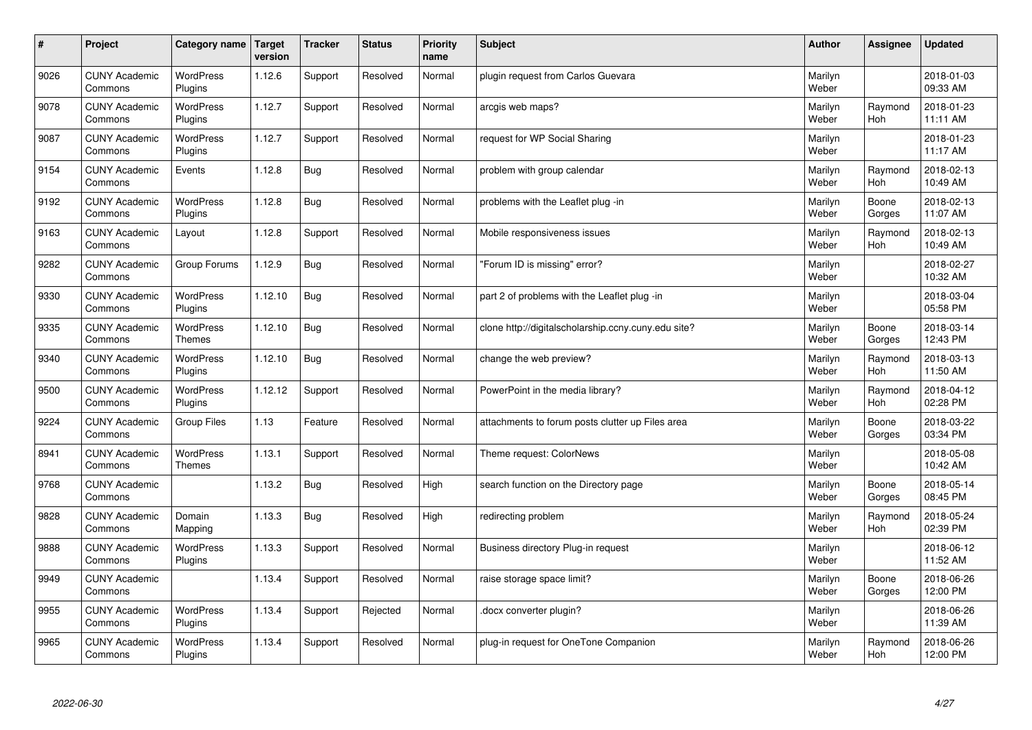| $\sharp$ | Project                         | Category name               | <b>Target</b><br>version | <b>Tracker</b> | <b>Status</b> | <b>Priority</b><br>name | <b>Subject</b>                                      | <b>Author</b>    | <b>Assignee</b> | <b>Updated</b>         |
|----------|---------------------------------|-----------------------------|--------------------------|----------------|---------------|-------------------------|-----------------------------------------------------|------------------|-----------------|------------------------|
| 9026     | <b>CUNY Academic</b><br>Commons | WordPress<br>Plugins        | 1.12.6                   | Support        | Resolved      | Normal                  | plugin request from Carlos Guevara                  | Marilyn<br>Weber |                 | 2018-01-03<br>09:33 AM |
| 9078     | <b>CUNY Academic</b><br>Commons | <b>WordPress</b><br>Plugins | 1.12.7                   | Support        | Resolved      | Normal                  | arcgis web maps?                                    | Marilyn<br>Weber | Raymond<br>Hoh  | 2018-01-23<br>11:11 AM |
| 9087     | <b>CUNY Academic</b><br>Commons | <b>WordPress</b><br>Plugins | 1.12.7                   | Support        | Resolved      | Normal                  | request for WP Social Sharing                       | Marilyn<br>Weber |                 | 2018-01-23<br>11:17 AM |
| 9154     | <b>CUNY Academic</b><br>Commons | Events                      | 1.12.8                   | Bug            | Resolved      | Normal                  | problem with group calendar                         | Marilyn<br>Weber | Raymond<br>Hoh  | 2018-02-13<br>10:49 AM |
| 9192     | <b>CUNY Academic</b><br>Commons | <b>WordPress</b><br>Plugins | 1.12.8                   | <b>Bug</b>     | Resolved      | Normal                  | problems with the Leaflet plug -in                  | Marilyn<br>Weber | Boone<br>Gorges | 2018-02-13<br>11:07 AM |
| 9163     | <b>CUNY Academic</b><br>Commons | Layout                      | 1.12.8                   | Support        | Resolved      | Normal                  | Mobile responsiveness issues                        | Marilyn<br>Weber | Raymond<br>Hoh  | 2018-02-13<br>10:49 AM |
| 9282     | <b>CUNY Academic</b><br>Commons | Group Forums                | 1.12.9                   | <b>Bug</b>     | Resolved      | Normal                  | "Forum ID is missing" error?                        | Marilyn<br>Weber |                 | 2018-02-27<br>10:32 AM |
| 9330     | <b>CUNY Academic</b><br>Commons | WordPress<br>Plugins        | 1.12.10                  | Bug            | Resolved      | Normal                  | part 2 of problems with the Leaflet plug -in        | Marilyn<br>Weber |                 | 2018-03-04<br>05:58 PM |
| 9335     | <b>CUNY Academic</b><br>Commons | WordPress<br>Themes         | 1.12.10                  | Bug            | Resolved      | Normal                  | clone http://digitalscholarship.ccny.cuny.edu site? | Marilyn<br>Weber | Boone<br>Gorges | 2018-03-14<br>12:43 PM |
| 9340     | <b>CUNY Academic</b><br>Commons | <b>WordPress</b><br>Plugins | 1.12.10                  | Bug            | Resolved      | Normal                  | change the web preview?                             | Marilyn<br>Weber | Raymond<br>Hoh  | 2018-03-13<br>11:50 AM |
| 9500     | <b>CUNY Academic</b><br>Commons | <b>WordPress</b><br>Plugins | 1.12.12                  | Support        | Resolved      | Normal                  | PowerPoint in the media library?                    | Marilyn<br>Weber | Raymond<br>Hoh  | 2018-04-12<br>02:28 PM |
| 9224     | <b>CUNY Academic</b><br>Commons | <b>Group Files</b>          | 1.13                     | Feature        | Resolved      | Normal                  | attachments to forum posts clutter up Files area    | Marilyn<br>Weber | Boone<br>Gorges | 2018-03-22<br>03:34 PM |
| 8941     | <b>CUNY Academic</b><br>Commons | WordPress<br><b>Themes</b>  | 1.13.1                   | Support        | Resolved      | Normal                  | Theme request: ColorNews                            | Marilyn<br>Weber |                 | 2018-05-08<br>10:42 AM |
| 9768     | <b>CUNY Academic</b><br>Commons |                             | 1.13.2                   | <b>Bug</b>     | Resolved      | High                    | search function on the Directory page               | Marilyn<br>Weber | Boone<br>Gorges | 2018-05-14<br>08:45 PM |
| 9828     | <b>CUNY Academic</b><br>Commons | Domain<br>Mapping           | 1.13.3                   | Bug            | Resolved      | High                    | redirecting problem                                 | Marilyn<br>Weber | Raymond<br>Hoh  | 2018-05-24<br>02:39 PM |
| 9888     | <b>CUNY Academic</b><br>Commons | WordPress<br>Plugins        | 1.13.3                   | Support        | Resolved      | Normal                  | Business directory Plug-in request                  | Marilyn<br>Weber |                 | 2018-06-12<br>11:52 AM |
| 9949     | <b>CUNY Academic</b><br>Commons |                             | 1.13.4                   | Support        | Resolved      | Normal                  | raise storage space limit?                          | Marilyn<br>Weber | Boone<br>Gorges | 2018-06-26<br>12:00 PM |
| 9955     | <b>CUNY Academic</b><br>Commons | <b>WordPress</b><br>Plugins | 1.13.4                   | Support        | Rejected      | Normal                  | docx converter plugin?                              | Marilyn<br>Weber |                 | 2018-06-26<br>11:39 AM |
| 9965     | <b>CUNY Academic</b><br>Commons | <b>WordPress</b><br>Plugins | 1.13.4                   | Support        | Resolved      | Normal                  | plug-in request for OneTone Companion               | Marilyn<br>Weber | Raymond<br>Hoh  | 2018-06-26<br>12:00 PM |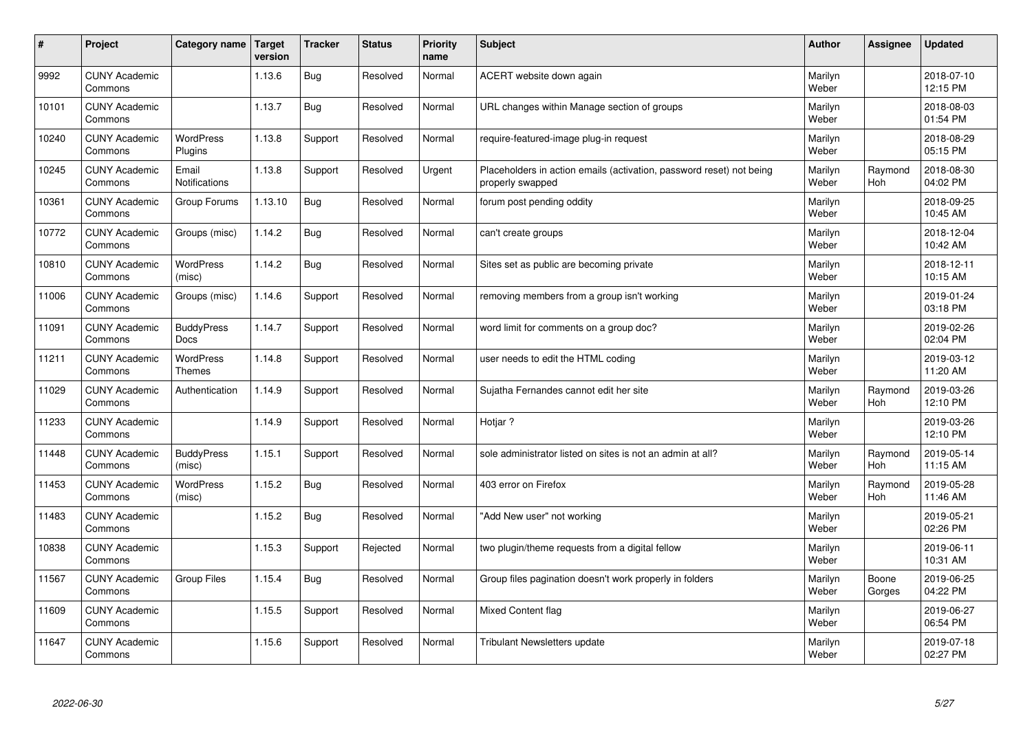| $\vert$ # | Project                         | Category name               | <b>Target</b><br>version | <b>Tracker</b> | <b>Status</b> | Priority<br>name | <b>Subject</b>                                                                           | <b>Author</b>    | Assignee        | <b>Updated</b>         |
|-----------|---------------------------------|-----------------------------|--------------------------|----------------|---------------|------------------|------------------------------------------------------------------------------------------|------------------|-----------------|------------------------|
| 9992      | <b>CUNY Academic</b><br>Commons |                             | 1.13.6                   | Bug            | Resolved      | Normal           | ACERT website down again                                                                 | Marilyn<br>Weber |                 | 2018-07-10<br>12:15 PM |
| 10101     | <b>CUNY Academic</b><br>Commons |                             | 1.13.7                   | Bug            | Resolved      | Normal           | URL changes within Manage section of groups                                              | Marilyn<br>Weber |                 | 2018-08-03<br>01:54 PM |
| 10240     | <b>CUNY Academic</b><br>Commons | <b>WordPress</b><br>Plugins | 1.13.8                   | Support        | Resolved      | Normal           | require-featured-image plug-in request                                                   | Marilyn<br>Weber |                 | 2018-08-29<br>05:15 PM |
| 10245     | <b>CUNY Academic</b><br>Commons | Email<br>Notifications      | 1.13.8                   | Support        | Resolved      | Urgent           | Placeholders in action emails (activation, password reset) not being<br>properly swapped | Marilyn<br>Weber | Raymond<br>Hoh  | 2018-08-30<br>04:02 PM |
| 10361     | <b>CUNY Academic</b><br>Commons | Group Forums                | 1.13.10                  | <b>Bug</b>     | Resolved      | Normal           | forum post pending oddity                                                                | Marilyn<br>Weber |                 | 2018-09-25<br>10:45 AM |
| 10772     | <b>CUNY Academic</b><br>Commons | Groups (misc)               | 1.14.2                   | Bug            | Resolved      | Normal           | can't create groups                                                                      | Marilyn<br>Weber |                 | 2018-12-04<br>10:42 AM |
| 10810     | <b>CUNY Academic</b><br>Commons | WordPress<br>(misc)         | 1.14.2                   | <b>Bug</b>     | Resolved      | Normal           | Sites set as public are becoming private                                                 | Marilyn<br>Weber |                 | 2018-12-11<br>10:15 AM |
| 11006     | <b>CUNY Academic</b><br>Commons | Groups (misc)               | 1.14.6                   | Support        | Resolved      | Normal           | removing members from a group isn't working                                              | Marilyn<br>Weber |                 | 2019-01-24<br>03:18 PM |
| 11091     | <b>CUNY Academic</b><br>Commons | <b>BuddyPress</b><br>Docs   | 1.14.7                   | Support        | Resolved      | Normal           | word limit for comments on a group doc?                                                  | Marilyn<br>Weber |                 | 2019-02-26<br>02:04 PM |
| 11211     | <b>CUNY Academic</b><br>Commons | WordPress<br>Themes         | 1.14.8                   | Support        | Resolved      | Normal           | user needs to edit the HTML coding                                                       | Marilyn<br>Weber |                 | 2019-03-12<br>11:20 AM |
| 11029     | <b>CUNY Academic</b><br>Commons | Authentication              | 1.14.9                   | Support        | Resolved      | Normal           | Sujatha Fernandes cannot edit her site                                                   | Marilyn<br>Weber | Raymond<br>Hoh  | 2019-03-26<br>12:10 PM |
| 11233     | <b>CUNY Academic</b><br>Commons |                             | 1.14.9                   | Support        | Resolved      | Normal           | Hotiar?                                                                                  | Marilyn<br>Weber |                 | 2019-03-26<br>12:10 PM |
| 11448     | <b>CUNY Academic</b><br>Commons | <b>BuddyPress</b><br>(misc) | 1.15.1                   | Support        | Resolved      | Normal           | sole administrator listed on sites is not an admin at all?                               | Marilyn<br>Weber | Raymond<br>Hoh  | 2019-05-14<br>11:15 AM |
| 11453     | <b>CUNY Academic</b><br>Commons | WordPress<br>(misc)         | 1.15.2                   | <b>Bug</b>     | Resolved      | Normal           | 403 error on Firefox                                                                     | Marilyn<br>Weber | Raymond<br>Hoh  | 2019-05-28<br>11:46 AM |
| 11483     | <b>CUNY Academic</b><br>Commons |                             | 1.15.2                   | <b>Bug</b>     | Resolved      | Normal           | "Add New user" not working                                                               | Marilyn<br>Weber |                 | 2019-05-21<br>02:26 PM |
| 10838     | <b>CUNY Academic</b><br>Commons |                             | 1.15.3                   | Support        | Rejected      | Normal           | two plugin/theme requests from a digital fellow                                          | Marilyn<br>Weber |                 | 2019-06-11<br>10:31 AM |
| 11567     | <b>CUNY Academic</b><br>Commons | <b>Group Files</b>          | 1.15.4                   | Bug            | Resolved      | Normal           | Group files pagination doesn't work properly in folders                                  | Marilyn<br>Weber | Boone<br>Gorges | 2019-06-25<br>04:22 PM |
| 11609     | <b>CUNY Academic</b><br>Commons |                             | 1.15.5                   | Support        | Resolved      | Normal           | Mixed Content flag                                                                       | Marilyn<br>Weber |                 | 2019-06-27<br>06:54 PM |
| 11647     | <b>CUNY Academic</b><br>Commons |                             | 1.15.6                   | Support        | Resolved      | Normal           | Tribulant Newsletters update                                                             | Marilyn<br>Weber |                 | 2019-07-18<br>02:27 PM |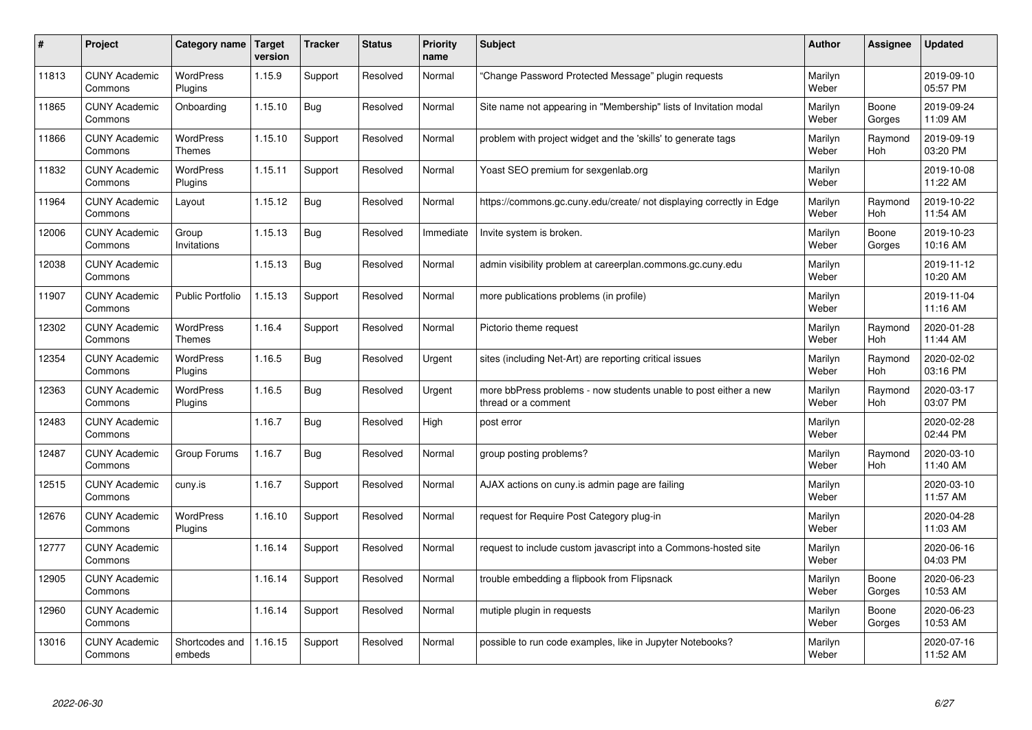| #     | Project                         | Category name                     | Target<br>version | <b>Tracker</b> | <b>Status</b> | <b>Priority</b><br>name | <b>Subject</b>                                                                          | <b>Author</b>    | Assignee              | <b>Updated</b>         |
|-------|---------------------------------|-----------------------------------|-------------------|----------------|---------------|-------------------------|-----------------------------------------------------------------------------------------|------------------|-----------------------|------------------------|
| 11813 | <b>CUNY Academic</b><br>Commons | <b>WordPress</b><br>Plugins       | 1.15.9            | Support        | Resolved      | Normal                  | "Change Password Protected Message" plugin requests                                     | Marilyn<br>Weber |                       | 2019-09-10<br>05:57 PM |
| 11865 | <b>CUNY Academic</b><br>Commons | Onboarding                        | 1.15.10           | Bug            | Resolved      | Normal                  | Site name not appearing in "Membership" lists of Invitation modal                       | Marilyn<br>Weber | Boone<br>Gorges       | 2019-09-24<br>11:09 AM |
| 11866 | <b>CUNY Academic</b><br>Commons | <b>WordPress</b><br><b>Themes</b> | 1.15.10           | Support        | Resolved      | Normal                  | problem with project widget and the 'skills' to generate tags                           | Marilyn<br>Weber | Raymond<br><b>Hoh</b> | 2019-09-19<br>03:20 PM |
| 11832 | <b>CUNY Academic</b><br>Commons | <b>WordPress</b><br>Plugins       | 1.15.11           | Support        | Resolved      | Normal                  | Yoast SEO premium for sexgenlab.org                                                     | Marilyn<br>Weber |                       | 2019-10-08<br>11:22 AM |
| 11964 | <b>CUNY Academic</b><br>Commons | Layout                            | 1.15.12           | Bug            | Resolved      | Normal                  | https://commons.gc.cuny.edu/create/ not displaying correctly in Edge                    | Marilyn<br>Weber | Raymond<br>Hoh        | 2019-10-22<br>11:54 AM |
| 12006 | <b>CUNY Academic</b><br>Commons | Group<br>Invitations              | 1.15.13           | Bug            | Resolved      | Immediate               | Invite system is broken.                                                                | Marilyn<br>Weber | Boone<br>Gorges       | 2019-10-23<br>10:16 AM |
| 12038 | <b>CUNY Academic</b><br>Commons |                                   | 1.15.13           | Bug            | Resolved      | Normal                  | admin visibility problem at careerplan.commons.gc.cuny.edu                              | Marilyn<br>Weber |                       | 2019-11-12<br>10:20 AM |
| 11907 | <b>CUNY Academic</b><br>Commons | <b>Public Portfolio</b>           | 1.15.13           | Support        | Resolved      | Normal                  | more publications problems (in profile)                                                 | Marilyn<br>Weber |                       | 2019-11-04<br>11:16 AM |
| 12302 | <b>CUNY Academic</b><br>Commons | <b>WordPress</b><br><b>Themes</b> | 1.16.4            | Support        | Resolved      | Normal                  | Pictorio theme request                                                                  | Marilyn<br>Weber | Raymond<br>Hoh        | 2020-01-28<br>11:44 AM |
| 12354 | <b>CUNY Academic</b><br>Commons | <b>WordPress</b><br>Plugins       | 1.16.5            | <b>Bug</b>     | Resolved      | Urgent                  | sites (including Net-Art) are reporting critical issues                                 | Marilyn<br>Weber | Raymond<br>Hoh        | 2020-02-02<br>03:16 PM |
| 12363 | <b>CUNY Academic</b><br>Commons | <b>WordPress</b><br>Plugins       | 1.16.5            | Bug            | Resolved      | Urgent                  | more bbPress problems - now students unable to post either a new<br>thread or a comment | Marilyn<br>Weber | Raymond<br><b>Hoh</b> | 2020-03-17<br>03:07 PM |
| 12483 | <b>CUNY Academic</b><br>Commons |                                   | 1.16.7            | Bug            | Resolved      | High                    | post error                                                                              | Marilyn<br>Weber |                       | 2020-02-28<br>02:44 PM |
| 12487 | <b>CUNY Academic</b><br>Commons | Group Forums                      | 1.16.7            | Bug            | Resolved      | Normal                  | group posting problems?                                                                 | Marilyn<br>Weber | Raymond<br><b>Hoh</b> | 2020-03-10<br>11:40 AM |
| 12515 | <b>CUNY Academic</b><br>Commons | cuny.is                           | 1.16.7            | Support        | Resolved      | Normal                  | AJAX actions on cuny.is admin page are failing                                          | Marilyn<br>Weber |                       | 2020-03-10<br>11:57 AM |
| 12676 | <b>CUNY Academic</b><br>Commons | WordPress<br>Plugins              | 1.16.10           | Support        | Resolved      | Normal                  | request for Require Post Category plug-in                                               | Marilyn<br>Weber |                       | 2020-04-28<br>11:03 AM |
| 12777 | <b>CUNY Academic</b><br>Commons |                                   | 1.16.14           | Support        | Resolved      | Normal                  | request to include custom javascript into a Commons-hosted site                         | Marilyn<br>Weber |                       | 2020-06-16<br>04:03 PM |
| 12905 | <b>CUNY Academic</b><br>Commons |                                   | 1.16.14           | Support        | Resolved      | Normal                  | trouble embedding a flipbook from Flipsnack                                             | Marilyn<br>Weber | Boone<br>Gorges       | 2020-06-23<br>10:53 AM |
| 12960 | <b>CUNY Academic</b><br>Commons |                                   | 1.16.14           | Support        | Resolved      | Normal                  | mutiple plugin in requests                                                              | Marilyn<br>Weber | Boone<br>Gorges       | 2020-06-23<br>10:53 AM |
| 13016 | <b>CUNY Academic</b><br>Commons | Shortcodes and<br>embeds          | 1.16.15           | Support        | Resolved      | Normal                  | possible to run code examples, like in Jupyter Notebooks?                               | Marilyn<br>Weber |                       | 2020-07-16<br>11:52 AM |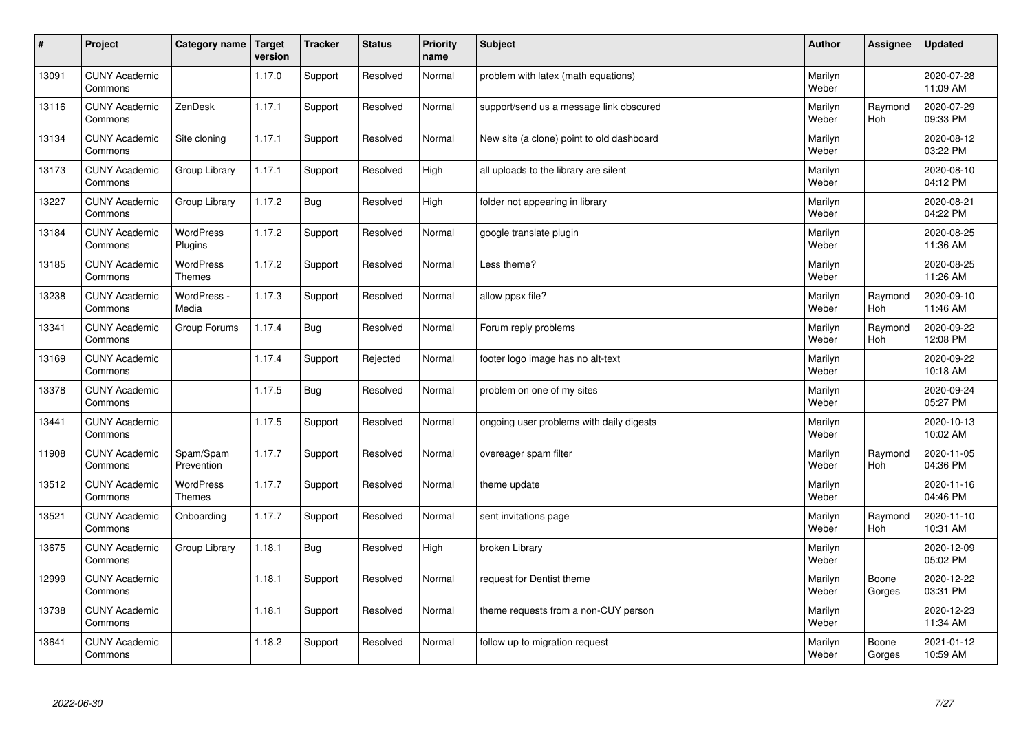| $\sharp$ | Project                         | Category name              | <b>Target</b><br>version | <b>Tracker</b> | <b>Status</b> | <b>Priority</b><br>name | <b>Subject</b>                            | <b>Author</b>    | Assignee        | <b>Updated</b>         |
|----------|---------------------------------|----------------------------|--------------------------|----------------|---------------|-------------------------|-------------------------------------------|------------------|-----------------|------------------------|
| 13091    | <b>CUNY Academic</b><br>Commons |                            | 1.17.0                   | Support        | Resolved      | Normal                  | problem with latex (math equations)       | Marilyn<br>Weber |                 | 2020-07-28<br>11:09 AM |
| 13116    | <b>CUNY Academic</b><br>Commons | ZenDesk                    | 1.17.1                   | Support        | Resolved      | Normal                  | support/send us a message link obscured   | Marilyn<br>Weber | Raymond<br>Hoh  | 2020-07-29<br>09:33 PM |
| 13134    | <b>CUNY Academic</b><br>Commons | Site cloning               | 1.17.1                   | Support        | Resolved      | Normal                  | New site (a clone) point to old dashboard | Marilyn<br>Weber |                 | 2020-08-12<br>03:22 PM |
| 13173    | <b>CUNY Academic</b><br>Commons | Group Library              | 1.17.1                   | Support        | Resolved      | High                    | all uploads to the library are silent     | Marilyn<br>Weber |                 | 2020-08-10<br>04:12 PM |
| 13227    | <b>CUNY Academic</b><br>Commons | Group Library              | 1.17.2                   | Bug            | Resolved      | High                    | folder not appearing in library           | Marilyn<br>Weber |                 | 2020-08-21<br>04:22 PM |
| 13184    | <b>CUNY Academic</b><br>Commons | WordPress<br>Plugins       | 1.17.2                   | Support        | Resolved      | Normal                  | google translate plugin                   | Marilyn<br>Weber |                 | 2020-08-25<br>11:36 AM |
| 13185    | <b>CUNY Academic</b><br>Commons | WordPress<br><b>Themes</b> | 1.17.2                   | Support        | Resolved      | Normal                  | Less theme?                               | Marilyn<br>Weber |                 | 2020-08-25<br>11:26 AM |
| 13238    | <b>CUNY Academic</b><br>Commons | WordPress -<br>Media       | 1.17.3                   | Support        | Resolved      | Normal                  | allow ppsx file?                          | Marilyn<br>Weber | Raymond<br>Hoh  | 2020-09-10<br>11:46 AM |
| 13341    | <b>CUNY Academic</b><br>Commons | Group Forums               | 1.17.4                   | <b>Bug</b>     | Resolved      | Normal                  | Forum reply problems                      | Marilyn<br>Weber | Raymond<br>Hoh  | 2020-09-22<br>12:08 PM |
| 13169    | <b>CUNY Academic</b><br>Commons |                            | 1.17.4                   | Support        | Rejected      | Normal                  | footer logo image has no alt-text         | Marilyn<br>Weber |                 | 2020-09-22<br>10:18 AM |
| 13378    | <b>CUNY Academic</b><br>Commons |                            | 1.17.5                   | <b>Bug</b>     | Resolved      | Normal                  | problem on one of my sites                | Marilyn<br>Weber |                 | 2020-09-24<br>05:27 PM |
| 13441    | <b>CUNY Academic</b><br>Commons |                            | 1.17.5                   | Support        | Resolved      | Normal                  | ongoing user problems with daily digests  | Marilyn<br>Weber |                 | 2020-10-13<br>10:02 AM |
| 11908    | <b>CUNY Academic</b><br>Commons | Spam/Spam<br>Prevention    | 1.17.7                   | Support        | Resolved      | Normal                  | overeager spam filter                     | Marilyn<br>Weber | Raymond<br>Hoh  | 2020-11-05<br>04:36 PM |
| 13512    | <b>CUNY Academic</b><br>Commons | <b>WordPress</b><br>Themes | 1.17.7                   | Support        | Resolved      | Normal                  | theme update                              | Marilyn<br>Weber |                 | 2020-11-16<br>04:46 PM |
| 13521    | <b>CUNY Academic</b><br>Commons | Onboarding                 | 1.17.7                   | Support        | Resolved      | Normal                  | sent invitations page                     | Marilyn<br>Weber | Raymond<br>Hoh  | 2020-11-10<br>10:31 AM |
| 13675    | <b>CUNY Academic</b><br>Commons | Group Library              | 1.18.1                   | Bug            | Resolved      | High                    | broken Library                            | Marilyn<br>Weber |                 | 2020-12-09<br>05:02 PM |
| 12999    | <b>CUNY Academic</b><br>Commons |                            | 1.18.1                   | Support        | Resolved      | Normal                  | request for Dentist theme                 | Marilyn<br>Weber | Boone<br>Gorges | 2020-12-22<br>03:31 PM |
| 13738    | <b>CUNY Academic</b><br>Commons |                            | 1.18.1                   | Support        | Resolved      | Normal                  | theme requests from a non-CUY person      | Marilyn<br>Weber |                 | 2020-12-23<br>11:34 AM |
| 13641    | <b>CUNY Academic</b><br>Commons |                            | 1.18.2                   | Support        | Resolved      | Normal                  | follow up to migration request            | Marilyn<br>Weber | Boone<br>Gorges | 2021-01-12<br>10:59 AM |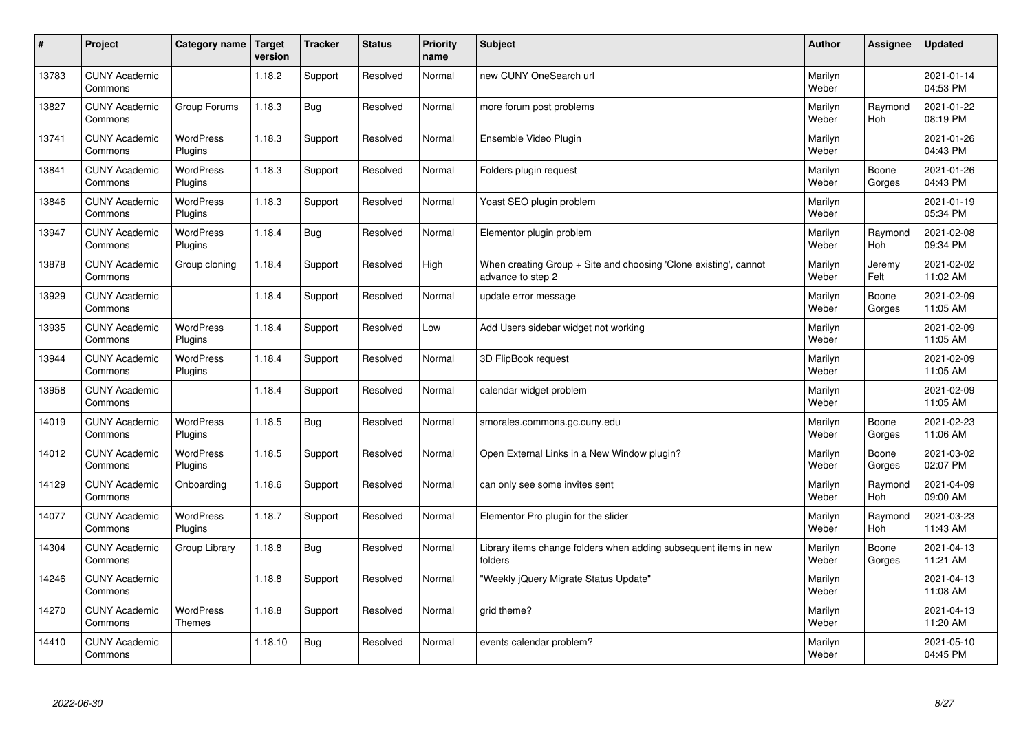| #     | Project                         | Category name               | Target<br>version | <b>Tracker</b> | <b>Status</b> | <b>Priority</b><br>name | <b>Subject</b>                                                                        | <b>Author</b>    | Assignee              | <b>Updated</b>         |
|-------|---------------------------------|-----------------------------|-------------------|----------------|---------------|-------------------------|---------------------------------------------------------------------------------------|------------------|-----------------------|------------------------|
| 13783 | <b>CUNY Academic</b><br>Commons |                             | 1.18.2            | Support        | Resolved      | Normal                  | new CUNY OneSearch url                                                                | Marilyn<br>Weber |                       | 2021-01-14<br>04:53 PM |
| 13827 | <b>CUNY Academic</b><br>Commons | Group Forums                | 1.18.3            | Bug            | Resolved      | Normal                  | more forum post problems                                                              | Marilyn<br>Weber | Raymond<br><b>Hoh</b> | 2021-01-22<br>08:19 PM |
| 13741 | <b>CUNY Academic</b><br>Commons | <b>WordPress</b><br>Plugins | 1.18.3            | Support        | Resolved      | Normal                  | Ensemble Video Plugin                                                                 | Marilyn<br>Weber |                       | 2021-01-26<br>04:43 PM |
| 13841 | <b>CUNY Academic</b><br>Commons | <b>WordPress</b><br>Plugins | 1.18.3            | Support        | Resolved      | Normal                  | Folders plugin request                                                                | Marilyn<br>Weber | Boone<br>Gorges       | 2021-01-26<br>04:43 PM |
| 13846 | <b>CUNY Academic</b><br>Commons | WordPress<br>Plugins        | 1.18.3            | Support        | Resolved      | Normal                  | Yoast SEO plugin problem                                                              | Marilyn<br>Weber |                       | 2021-01-19<br>05:34 PM |
| 13947 | <b>CUNY Academic</b><br>Commons | <b>WordPress</b><br>Plugins | 1.18.4            | <b>Bug</b>     | Resolved      | Normal                  | Elementor plugin problem                                                              | Marilyn<br>Weber | Raymond<br>Hoh        | 2021-02-08<br>09:34 PM |
| 13878 | <b>CUNY Academic</b><br>Commons | Group cloning               | 1.18.4            | Support        | Resolved      | High                    | When creating Group + Site and choosing 'Clone existing', cannot<br>advance to step 2 | Marilyn<br>Weber | Jeremy<br>Felt        | 2021-02-02<br>11:02 AM |
| 13929 | <b>CUNY Academic</b><br>Commons |                             | 1.18.4            | Support        | Resolved      | Normal                  | update error message                                                                  | Marilyn<br>Weber | Boone<br>Gorges       | 2021-02-09<br>11:05 AM |
| 13935 | <b>CUNY Academic</b><br>Commons | <b>WordPress</b><br>Plugins | 1.18.4            | Support        | Resolved      | Low                     | Add Users sidebar widget not working                                                  | Marilyn<br>Weber |                       | 2021-02-09<br>11:05 AM |
| 13944 | <b>CUNY Academic</b><br>Commons | WordPress<br>Plugins        | 1.18.4            | Support        | Resolved      | Normal                  | 3D FlipBook request                                                                   | Marilyn<br>Weber |                       | 2021-02-09<br>11:05 AM |
| 13958 | <b>CUNY Academic</b><br>Commons |                             | 1.18.4            | Support        | Resolved      | Normal                  | calendar widget problem                                                               | Marilyn<br>Weber |                       | 2021-02-09<br>11:05 AM |
| 14019 | <b>CUNY Academic</b><br>Commons | WordPress<br>Plugins        | 1.18.5            | Bug            | Resolved      | Normal                  | smorales.commons.gc.cuny.edu                                                          | Marilyn<br>Weber | Boone<br>Gorges       | 2021-02-23<br>11:06 AM |
| 14012 | <b>CUNY Academic</b><br>Commons | <b>WordPress</b><br>Plugins | 1.18.5            | Support        | Resolved      | Normal                  | Open External Links in a New Window plugin?                                           | Marilyn<br>Weber | Boone<br>Gorges       | 2021-03-02<br>02:07 PM |
| 14129 | <b>CUNY Academic</b><br>Commons | Onboarding                  | 1.18.6            | Support        | Resolved      | Normal                  | can only see some invites sent                                                        | Marilyn<br>Weber | Raymond<br><b>Hoh</b> | 2021-04-09<br>09:00 AM |
| 14077 | <b>CUNY Academic</b><br>Commons | WordPress<br>Plugins        | 1.18.7            | Support        | Resolved      | Normal                  | Elementor Pro plugin for the slider                                                   | Marilyn<br>Weber | Raymond<br>Hoh        | 2021-03-23<br>11:43 AM |
| 14304 | <b>CUNY Academic</b><br>Commons | Group Library               | 1.18.8            | Bug            | Resolved      | Normal                  | Library items change folders when adding subsequent items in new<br>folders           | Marilyn<br>Weber | Boone<br>Gorges       | 2021-04-13<br>11:21 AM |
| 14246 | <b>CUNY Academic</b><br>Commons |                             | 1.18.8            | Support        | Resolved      | Normal                  | "Weekly jQuery Migrate Status Update"                                                 | Marilyn<br>Weber |                       | 2021-04-13<br>11:08 AM |
| 14270 | <b>CUNY Academic</b><br>Commons | WordPress<br>Themes         | 1.18.8            | Support        | Resolved      | Normal                  | grid theme?                                                                           | Marilyn<br>Weber |                       | 2021-04-13<br>11:20 AM |
| 14410 | <b>CUNY Academic</b><br>Commons |                             | 1.18.10           | Bug            | Resolved      | Normal                  | events calendar problem?                                                              | Marilyn<br>Weber |                       | 2021-05-10<br>04:45 PM |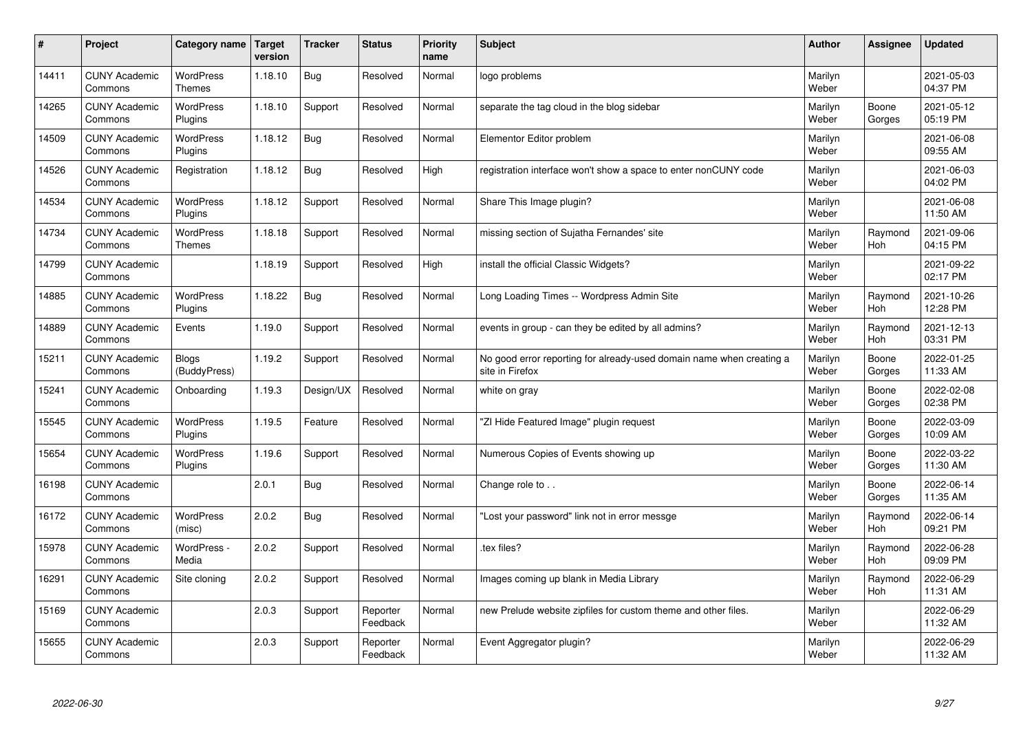| #     | Project                         | Category name                | <b>Target</b><br>version | <b>Tracker</b> | <b>Status</b>        | <b>Priority</b><br>name | <b>Subject</b>                                                                          | <b>Author</b>    | <b>Assignee</b> | <b>Updated</b>         |
|-------|---------------------------------|------------------------------|--------------------------|----------------|----------------------|-------------------------|-----------------------------------------------------------------------------------------|------------------|-----------------|------------------------|
| 14411 | <b>CUNY Academic</b><br>Commons | <b>WordPress</b><br>Themes   | 1.18.10                  | Bug            | Resolved             | Normal                  | logo problems                                                                           | Marilyn<br>Weber |                 | 2021-05-03<br>04:37 PM |
| 14265 | <b>CUNY Academic</b><br>Commons | <b>WordPress</b><br>Plugins  | 1.18.10                  | Support        | Resolved             | Normal                  | separate the tag cloud in the blog sidebar                                              | Marilyn<br>Weber | Boone<br>Gorges | 2021-05-12<br>05:19 PM |
| 14509 | <b>CUNY Academic</b><br>Commons | <b>WordPress</b><br>Plugins  | 1.18.12                  | Bug            | Resolved             | Normal                  | Elementor Editor problem                                                                | Marilyn<br>Weber |                 | 2021-06-08<br>09:55 AM |
| 14526 | <b>CUNY Academic</b><br>Commons | Registration                 | 1.18.12                  | Bug            | Resolved             | High                    | registration interface won't show a space to enter nonCUNY code                         | Marilyn<br>Weber |                 | 2021-06-03<br>04:02 PM |
| 14534 | <b>CUNY Academic</b><br>Commons | <b>WordPress</b><br>Plugins  | 1.18.12                  | Support        | Resolved             | Normal                  | Share This Image plugin?                                                                | Marilyn<br>Weber |                 | 2021-06-08<br>11:50 AM |
| 14734 | <b>CUNY Academic</b><br>Commons | WordPress<br><b>Themes</b>   | 1.18.18                  | Support        | Resolved             | Normal                  | missing section of Sujatha Fernandes' site                                              | Marilyn<br>Weber | Raymond<br>Hoh  | 2021-09-06<br>04:15 PM |
| 14799 | <b>CUNY Academic</b><br>Commons |                              | 1.18.19                  | Support        | Resolved             | High                    | install the official Classic Widgets?                                                   | Marilyn<br>Weber |                 | 2021-09-22<br>02:17 PM |
| 14885 | <b>CUNY Academic</b><br>Commons | <b>WordPress</b><br>Plugins  | 1.18.22                  | <b>Bug</b>     | Resolved             | Normal                  | Long Loading Times -- Wordpress Admin Site                                              | Marilyn<br>Weber | Raymond<br>Hoh  | 2021-10-26<br>12:28 PM |
| 14889 | <b>CUNY Academic</b><br>Commons | Events                       | 1.19.0                   | Support        | Resolved             | Normal                  | events in group - can they be edited by all admins?                                     | Marilyn<br>Weber | Raymond<br>Hoh  | 2021-12-13<br>03:31 PM |
| 15211 | <b>CUNY Academic</b><br>Commons | <b>Blogs</b><br>(BuddyPress) | 1.19.2                   | Support        | Resolved             | Normal                  | No good error reporting for already-used domain name when creating a<br>site in Firefox | Marilyn<br>Weber | Boone<br>Gorges | 2022-01-25<br>11:33 AM |
| 15241 | <b>CUNY Academic</b><br>Commons | Onboarding                   | 1.19.3                   | Design/UX      | Resolved             | Normal                  | white on gray                                                                           | Marilyn<br>Weber | Boone<br>Gorges | 2022-02-08<br>02:38 PM |
| 15545 | <b>CUNY Academic</b><br>Commons | WordPress<br>Plugins         | 1.19.5                   | Feature        | Resolved             | Normal                  | "ZI Hide Featured Image" plugin request                                                 | Marilyn<br>Weber | Boone<br>Gorges | 2022-03-09<br>10:09 AM |
| 15654 | <b>CUNY Academic</b><br>Commons | WordPress<br>Plugins         | 1.19.6                   | Support        | Resolved             | Normal                  | Numerous Copies of Events showing up                                                    | Marilyn<br>Weber | Boone<br>Gorges | 2022-03-22<br>11:30 AM |
| 16198 | <b>CUNY Academic</b><br>Commons |                              | 2.0.1                    | <b>Bug</b>     | Resolved             | Normal                  | Change role to                                                                          | Marilyn<br>Weber | Boone<br>Gorges | 2022-06-14<br>11:35 AM |
| 16172 | <b>CUNY Academic</b><br>Commons | WordPress<br>(misc)          | 2.0.2                    | <b>Bug</b>     | Resolved             | Normal                  | "Lost your password" link not in error messge                                           | Marilyn<br>Weber | Raymond<br>Hoh  | 2022-06-14<br>09:21 PM |
| 15978 | <b>CUNY Academic</b><br>Commons | WordPress -<br>Media         | 2.0.2                    | Support        | Resolved             | Normal                  | tex files?                                                                              | Marilyn<br>Weber | Raymond<br>Hoh  | 2022-06-28<br>09:09 PM |
| 16291 | <b>CUNY Academic</b><br>Commons | Site cloning                 | 2.0.2                    | Support        | Resolved             | Normal                  | Images coming up blank in Media Library                                                 | Marilyn<br>Weber | Raymond<br>Hoh  | 2022-06-29<br>11:31 AM |
| 15169 | <b>CUNY Academic</b><br>Commons |                              | 2.0.3                    | Support        | Reporter<br>Feedback | Normal                  | new Prelude website zipfiles for custom theme and other files.                          | Marilyn<br>Weber |                 | 2022-06-29<br>11:32 AM |
| 15655 | <b>CUNY Academic</b><br>Commons |                              | 2.0.3                    | Support        | Reporter<br>Feedback | Normal                  | Event Aggregator plugin?                                                                | Marilyn<br>Weber |                 | 2022-06-29<br>11:32 AM |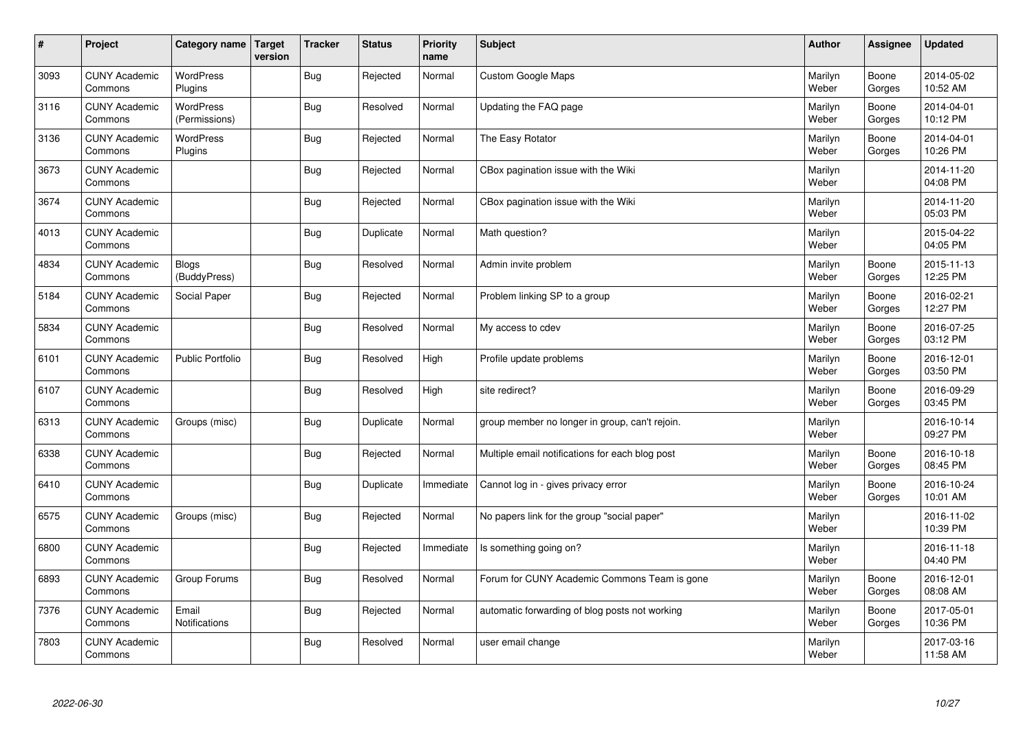| $\vert$ # | Project                         | Category name                | Target<br>version | <b>Tracker</b> | <b>Status</b> | <b>Priority</b><br>name | <b>Subject</b>                                  | <b>Author</b>    | Assignee        | <b>Updated</b>         |
|-----------|---------------------------------|------------------------------|-------------------|----------------|---------------|-------------------------|-------------------------------------------------|------------------|-----------------|------------------------|
| 3093      | <b>CUNY Academic</b><br>Commons | <b>WordPress</b><br>Plugins  |                   | <b>Bug</b>     | Rejected      | Normal                  | <b>Custom Google Maps</b>                       | Marilyn<br>Weber | Boone<br>Gorges | 2014-05-02<br>10:52 AM |
| 3116      | <b>CUNY Academic</b><br>Commons | WordPress<br>(Permissions)   |                   | <b>Bug</b>     | Resolved      | Normal                  | Updating the FAQ page                           | Marilyn<br>Weber | Boone<br>Gorges | 2014-04-01<br>10:12 PM |
| 3136      | <b>CUNY Academic</b><br>Commons | <b>WordPress</b><br>Plugins  |                   | Bug            | Rejected      | Normal                  | The Easy Rotator                                | Marilyn<br>Weber | Boone<br>Gorges | 2014-04-01<br>10:26 PM |
| 3673      | <b>CUNY Academic</b><br>Commons |                              |                   | <b>Bug</b>     | Rejected      | Normal                  | CBox pagination issue with the Wiki             | Marilyn<br>Weber |                 | 2014-11-20<br>04:08 PM |
| 3674      | <b>CUNY Academic</b><br>Commons |                              |                   | <b>Bug</b>     | Rejected      | Normal                  | CBox pagination issue with the Wiki             | Marilyn<br>Weber |                 | 2014-11-20<br>05:03 PM |
| 4013      | <b>CUNY Academic</b><br>Commons |                              |                   | <b>Bug</b>     | Duplicate     | Normal                  | Math question?                                  | Marilyn<br>Weber |                 | 2015-04-22<br>04:05 PM |
| 4834      | <b>CUNY Academic</b><br>Commons | <b>Blogs</b><br>(BuddyPress) |                   | Bug            | Resolved      | Normal                  | Admin invite problem                            | Marilyn<br>Weber | Boone<br>Gorges | 2015-11-13<br>12:25 PM |
| 5184      | <b>CUNY Academic</b><br>Commons | Social Paper                 |                   | <b>Bug</b>     | Rejected      | Normal                  | Problem linking SP to a group                   | Marilyn<br>Weber | Boone<br>Gorges | 2016-02-21<br>12:27 PM |
| 5834      | <b>CUNY Academic</b><br>Commons |                              |                   | <b>Bug</b>     | Resolved      | Normal                  | My access to cdev                               | Marilyn<br>Weber | Boone<br>Gorges | 2016-07-25<br>03:12 PM |
| 6101      | <b>CUNY Academic</b><br>Commons | <b>Public Portfolio</b>      |                   | <b>Bug</b>     | Resolved      | High                    | Profile update problems                         | Marilyn<br>Weber | Boone<br>Gorges | 2016-12-01<br>03:50 PM |
| 6107      | <b>CUNY Academic</b><br>Commons |                              |                   | Bug            | Resolved      | High                    | site redirect?                                  | Marilyn<br>Weber | Boone<br>Gorges | 2016-09-29<br>03:45 PM |
| 6313      | <b>CUNY Academic</b><br>Commons | Groups (misc)                |                   | <b>Bug</b>     | Duplicate     | Normal                  | group member no longer in group, can't rejoin.  | Marilyn<br>Weber |                 | 2016-10-14<br>09:27 PM |
| 6338      | <b>CUNY Academic</b><br>Commons |                              |                   | <b>Bug</b>     | Rejected      | Normal                  | Multiple email notifications for each blog post | Marilyn<br>Weber | Boone<br>Gorges | 2016-10-18<br>08:45 PM |
| 6410      | <b>CUNY Academic</b><br>Commons |                              |                   | <b>Bug</b>     | Duplicate     | Immediate               | Cannot log in - gives privacy error             | Marilyn<br>Weber | Boone<br>Gorges | 2016-10-24<br>10:01 AM |
| 6575      | <b>CUNY Academic</b><br>Commons | Groups (misc)                |                   | Bug            | Rejected      | Normal                  | No papers link for the group "social paper"     | Marilyn<br>Weber |                 | 2016-11-02<br>10:39 PM |
| 6800      | <b>CUNY Academic</b><br>Commons |                              |                   | <b>Bug</b>     | Rejected      | Immediate               | Is something going on?                          | Marilyn<br>Weber |                 | 2016-11-18<br>04:40 PM |
| 6893      | <b>CUNY Academic</b><br>Commons | Group Forums                 |                   | <b>Bug</b>     | Resolved      | Normal                  | Forum for CUNY Academic Commons Team is gone    | Marilyn<br>Weber | Boone<br>Gorges | 2016-12-01<br>08:08 AM |
| 7376      | <b>CUNY Academic</b><br>Commons | Email<br>Notifications       |                   | Bug            | Rejected      | Normal                  | automatic forwarding of blog posts not working  | Marilyn<br>Weber | Boone<br>Gorges | 2017-05-01<br>10:36 PM |
| 7803      | <b>CUNY Academic</b><br>Commons |                              |                   | Bug            | Resolved      | Normal                  | user email change                               | Marilyn<br>Weber |                 | 2017-03-16<br>11:58 AM |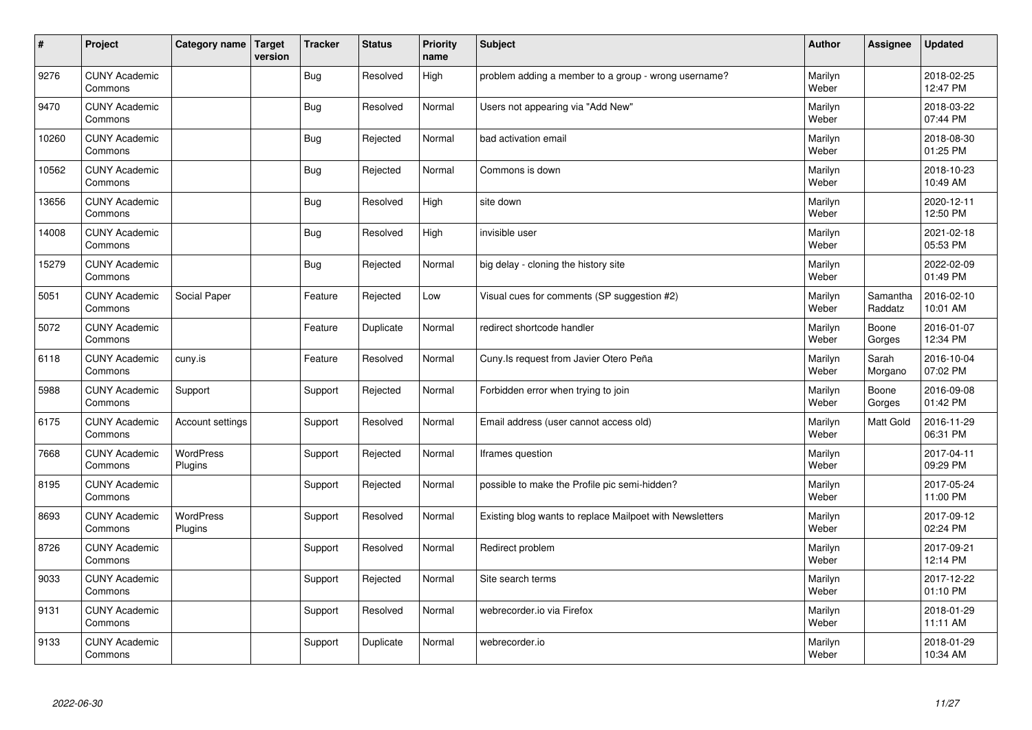| $\vert$ # | Project                         | Category name        | Target<br>version | <b>Tracker</b> | <b>Status</b> | <b>Priority</b><br>name | <b>Subject</b>                                           | Author           | Assignee            | <b>Updated</b>         |
|-----------|---------------------------------|----------------------|-------------------|----------------|---------------|-------------------------|----------------------------------------------------------|------------------|---------------------|------------------------|
| 9276      | <b>CUNY Academic</b><br>Commons |                      |                   | <b>Bug</b>     | Resolved      | High                    | problem adding a member to a group - wrong username?     | Marilyn<br>Weber |                     | 2018-02-25<br>12:47 PM |
| 9470      | <b>CUNY Academic</b><br>Commons |                      |                   | <b>Bug</b>     | Resolved      | Normal                  | Users not appearing via "Add New"                        | Marilyn<br>Weber |                     | 2018-03-22<br>07:44 PM |
| 10260     | <b>CUNY Academic</b><br>Commons |                      |                   | Bug            | Rejected      | Normal                  | bad activation email                                     | Marilyn<br>Weber |                     | 2018-08-30<br>01:25 PM |
| 10562     | <b>CUNY Academic</b><br>Commons |                      |                   | Bug            | Rejected      | Normal                  | Commons is down                                          | Marilyn<br>Weber |                     | 2018-10-23<br>10:49 AM |
| 13656     | <b>CUNY Academic</b><br>Commons |                      |                   | Bug            | Resolved      | High                    | site down                                                | Marilyn<br>Weber |                     | 2020-12-11<br>12:50 PM |
| 14008     | <b>CUNY Academic</b><br>Commons |                      |                   | Bug            | Resolved      | High                    | invisible user                                           | Marilyn<br>Weber |                     | 2021-02-18<br>05:53 PM |
| 15279     | <b>CUNY Academic</b><br>Commons |                      |                   | Bug            | Rejected      | Normal                  | big delay - cloning the history site                     | Marilyn<br>Weber |                     | 2022-02-09<br>01:49 PM |
| 5051      | <b>CUNY Academic</b><br>Commons | Social Paper         |                   | Feature        | Rejected      | Low                     | Visual cues for comments (SP suggestion #2)              | Marilyn<br>Weber | Samantha<br>Raddatz | 2016-02-10<br>10:01 AM |
| 5072      | <b>CUNY Academic</b><br>Commons |                      |                   | Feature        | Duplicate     | Normal                  | redirect shortcode handler                               | Marilyn<br>Weber | Boone<br>Gorges     | 2016-01-07<br>12:34 PM |
| 6118      | <b>CUNY Academic</b><br>Commons | cuny.is              |                   | Feature        | Resolved      | Normal                  | Cuny.Is request from Javier Otero Peña                   | Marilyn<br>Weber | Sarah<br>Morgano    | 2016-10-04<br>07:02 PM |
| 5988      | <b>CUNY Academic</b><br>Commons | Support              |                   | Support        | Rejected      | Normal                  | Forbidden error when trying to join                      | Marilyn<br>Weber | Boone<br>Gorges     | 2016-09-08<br>01:42 PM |
| 6175      | <b>CUNY Academic</b><br>Commons | Account settings     |                   | Support        | Resolved      | Normal                  | Email address (user cannot access old)                   | Marilyn<br>Weber | Matt Gold           | 2016-11-29<br>06:31 PM |
| 7668      | <b>CUNY Academic</b><br>Commons | WordPress<br>Plugins |                   | Support        | Rejected      | Normal                  | Iframes question                                         | Marilyn<br>Weber |                     | 2017-04-11<br>09:29 PM |
| 8195      | <b>CUNY Academic</b><br>Commons |                      |                   | Support        | Rejected      | Normal                  | possible to make the Profile pic semi-hidden?            | Marilyn<br>Weber |                     | 2017-05-24<br>11:00 PM |
| 8693      | <b>CUNY Academic</b><br>Commons | WordPress<br>Plugins |                   | Support        | Resolved      | Normal                  | Existing blog wants to replace Mailpoet with Newsletters | Marilyn<br>Weber |                     | 2017-09-12<br>02:24 PM |
| 8726      | <b>CUNY Academic</b><br>Commons |                      |                   | Support        | Resolved      | Normal                  | Redirect problem                                         | Marilyn<br>Weber |                     | 2017-09-21<br>12:14 PM |
| 9033      | <b>CUNY Academic</b><br>Commons |                      |                   | Support        | Rejected      | Normal                  | Site search terms                                        | Marilyn<br>Weber |                     | 2017-12-22<br>01:10 PM |
| 9131      | <b>CUNY Academic</b><br>Commons |                      |                   | Support        | Resolved      | Normal                  | webrecorder.io via Firefox                               | Marilyn<br>Weber |                     | 2018-01-29<br>11:11 AM |
| 9133      | <b>CUNY Academic</b><br>Commons |                      |                   | Support        | Duplicate     | Normal                  | webrecorder.io                                           | Marilyn<br>Weber |                     | 2018-01-29<br>10:34 AM |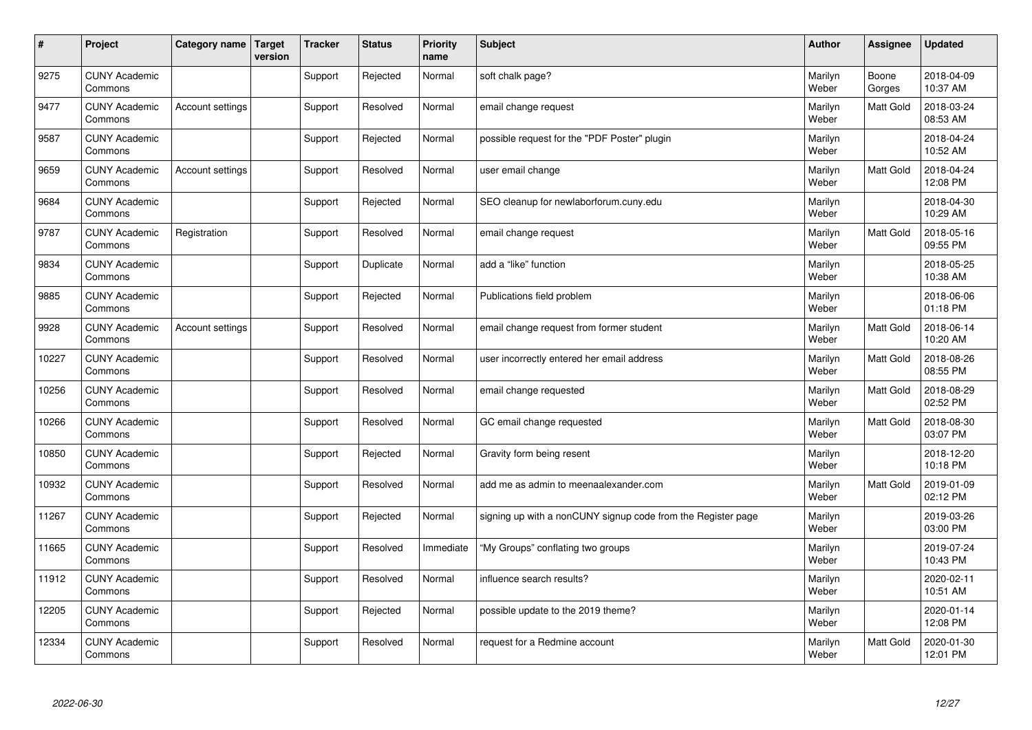| $\vert$ # | Project                         | Category name           | <b>Target</b><br>version | <b>Tracker</b> | <b>Status</b> | <b>Priority</b><br>name | <b>Subject</b>                                               | <b>Author</b>    | Assignee        | <b>Updated</b>         |
|-----------|---------------------------------|-------------------------|--------------------------|----------------|---------------|-------------------------|--------------------------------------------------------------|------------------|-----------------|------------------------|
| 9275      | <b>CUNY Academic</b><br>Commons |                         |                          | Support        | Rejected      | Normal                  | soft chalk page?                                             | Marilyn<br>Weber | Boone<br>Gorges | 2018-04-09<br>10:37 AM |
| 9477      | <b>CUNY Academic</b><br>Commons | Account settings        |                          | Support        | Resolved      | Normal                  | email change request                                         | Marilyn<br>Weber | Matt Gold       | 2018-03-24<br>08:53 AM |
| 9587      | <b>CUNY Academic</b><br>Commons |                         |                          | Support        | Rejected      | Normal                  | possible request for the "PDF Poster" plugin                 | Marilyn<br>Weber |                 | 2018-04-24<br>10:52 AM |
| 9659      | <b>CUNY Academic</b><br>Commons | Account settings        |                          | Support        | Resolved      | Normal                  | user email change                                            | Marilyn<br>Weber | Matt Gold       | 2018-04-24<br>12:08 PM |
| 9684      | <b>CUNY Academic</b><br>Commons |                         |                          | Support        | Rejected      | Normal                  | SEO cleanup for newlaborforum.cuny.edu                       | Marilyn<br>Weber |                 | 2018-04-30<br>10:29 AM |
| 9787      | <b>CUNY Academic</b><br>Commons | Registration            |                          | Support        | Resolved      | Normal                  | email change request                                         | Marilyn<br>Weber | Matt Gold       | 2018-05-16<br>09:55 PM |
| 9834      | <b>CUNY Academic</b><br>Commons |                         |                          | Support        | Duplicate     | Normal                  | add a "like" function                                        | Marilyn<br>Weber |                 | 2018-05-25<br>10:38 AM |
| 9885      | <b>CUNY Academic</b><br>Commons |                         |                          | Support        | Rejected      | Normal                  | Publications field problem                                   | Marilyn<br>Weber |                 | 2018-06-06<br>01:18 PM |
| 9928      | <b>CUNY Academic</b><br>Commons | <b>Account settings</b> |                          | Support        | Resolved      | Normal                  | email change request from former student                     | Marilyn<br>Weber | Matt Gold       | 2018-06-14<br>10:20 AM |
| 10227     | <b>CUNY Academic</b><br>Commons |                         |                          | Support        | Resolved      | Normal                  | user incorrectly entered her email address                   | Marilyn<br>Weber | Matt Gold       | 2018-08-26<br>08:55 PM |
| 10256     | <b>CUNY Academic</b><br>Commons |                         |                          | Support        | Resolved      | Normal                  | email change requested                                       | Marilyn<br>Weber | Matt Gold       | 2018-08-29<br>02:52 PM |
| 10266     | <b>CUNY Academic</b><br>Commons |                         |                          | Support        | Resolved      | Normal                  | GC email change requested                                    | Marilyn<br>Weber | Matt Gold       | 2018-08-30<br>03:07 PM |
| 10850     | <b>CUNY Academic</b><br>Commons |                         |                          | Support        | Rejected      | Normal                  | Gravity form being resent                                    | Marilyn<br>Weber |                 | 2018-12-20<br>10:18 PM |
| 10932     | <b>CUNY Academic</b><br>Commons |                         |                          | Support        | Resolved      | Normal                  | add me as admin to meenaalexander.com                        | Marilyn<br>Weber | Matt Gold       | 2019-01-09<br>02:12 PM |
| 11267     | <b>CUNY Academic</b><br>Commons |                         |                          | Support        | Rejected      | Normal                  | signing up with a nonCUNY signup code from the Register page | Marilyn<br>Weber |                 | 2019-03-26<br>03:00 PM |
| 11665     | <b>CUNY Academic</b><br>Commons |                         |                          | Support        | Resolved      | Immediate               | "My Groups" conflating two groups                            | Marilyn<br>Weber |                 | 2019-07-24<br>10:43 PM |
| 11912     | <b>CUNY Academic</b><br>Commons |                         |                          | Support        | Resolved      | Normal                  | influence search results?                                    | Marilyn<br>Weber |                 | 2020-02-11<br>10:51 AM |
| 12205     | <b>CUNY Academic</b><br>Commons |                         |                          | Support        | Rejected      | Normal                  | possible update to the 2019 theme?                           | Marilyn<br>Weber |                 | 2020-01-14<br>12:08 PM |
| 12334     | <b>CUNY Academic</b><br>Commons |                         |                          | Support        | Resolved      | Normal                  | request for a Redmine account                                | Marilyn<br>Weber | Matt Gold       | 2020-01-30<br>12:01 PM |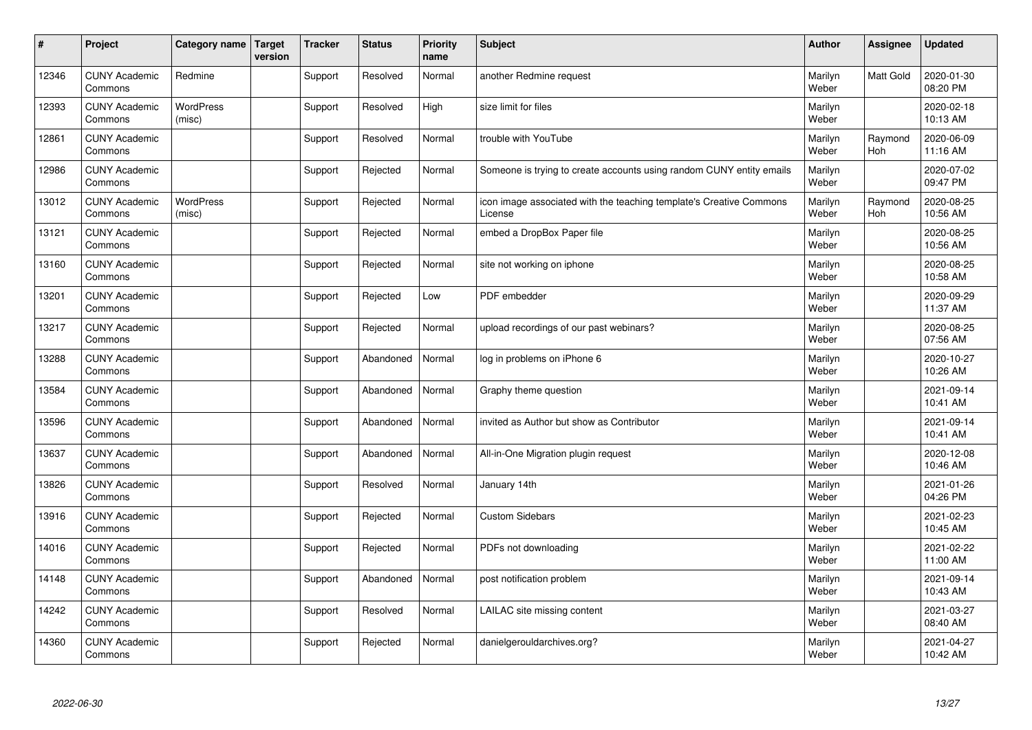| $\sharp$ | Project                         | Category name              | <b>Target</b><br>version | <b>Tracker</b> | <b>Status</b> | Priority<br>name | <b>Subject</b>                                                                 | <b>Author</b>    | Assignee       | <b>Updated</b>         |
|----------|---------------------------------|----------------------------|--------------------------|----------------|---------------|------------------|--------------------------------------------------------------------------------|------------------|----------------|------------------------|
| 12346    | <b>CUNY Academic</b><br>Commons | Redmine                    |                          | Support        | Resolved      | Normal           | another Redmine request                                                        | Marilyn<br>Weber | Matt Gold      | 2020-01-30<br>08:20 PM |
| 12393    | <b>CUNY Academic</b><br>Commons | <b>WordPress</b><br>(misc) |                          | Support        | Resolved      | High             | size limit for files                                                           | Marilyn<br>Weber |                | 2020-02-18<br>10:13 AM |
| 12861    | <b>CUNY Academic</b><br>Commons |                            |                          | Support        | Resolved      | Normal           | trouble with YouTube                                                           | Marilyn<br>Weber | Raymond<br>Hoh | 2020-06-09<br>11:16 AM |
| 12986    | <b>CUNY Academic</b><br>Commons |                            |                          | Support        | Rejected      | Normal           | Someone is trying to create accounts using random CUNY entity emails           | Marilyn<br>Weber |                | 2020-07-02<br>09:47 PM |
| 13012    | <b>CUNY Academic</b><br>Commons | <b>WordPress</b><br>(misc) |                          | Support        | Rejected      | Normal           | icon image associated with the teaching template's Creative Commons<br>License | Marilyn<br>Weber | Raymond<br>Hoh | 2020-08-25<br>10:56 AM |
| 13121    | <b>CUNY Academic</b><br>Commons |                            |                          | Support        | Rejected      | Normal           | embed a DropBox Paper file                                                     | Marilyn<br>Weber |                | 2020-08-25<br>10:56 AM |
| 13160    | <b>CUNY Academic</b><br>Commons |                            |                          | Support        | Rejected      | Normal           | site not working on iphone                                                     | Marilyn<br>Weber |                | 2020-08-25<br>10:58 AM |
| 13201    | <b>CUNY Academic</b><br>Commons |                            |                          | Support        | Rejected      | Low              | PDF embedder                                                                   | Marilyn<br>Weber |                | 2020-09-29<br>11:37 AM |
| 13217    | <b>CUNY Academic</b><br>Commons |                            |                          | Support        | Rejected      | Normal           | upload recordings of our past webinars?                                        | Marilyn<br>Weber |                | 2020-08-25<br>07:56 AM |
| 13288    | <b>CUNY Academic</b><br>Commons |                            |                          | Support        | Abandoned     | Normal           | log in problems on iPhone 6                                                    | Marilyn<br>Weber |                | 2020-10-27<br>10:26 AM |
| 13584    | <b>CUNY Academic</b><br>Commons |                            |                          | Support        | Abandoned     | Normal           | Graphy theme question                                                          | Marilyn<br>Weber |                | 2021-09-14<br>10:41 AM |
| 13596    | <b>CUNY Academic</b><br>Commons |                            |                          | Support        | Abandoned     | Normal           | invited as Author but show as Contributor                                      | Marilyn<br>Weber |                | 2021-09-14<br>10:41 AM |
| 13637    | <b>CUNY Academic</b><br>Commons |                            |                          | Support        | Abandoned     | Normal           | All-in-One Migration plugin request                                            | Marilyn<br>Weber |                | 2020-12-08<br>10:46 AM |
| 13826    | <b>CUNY Academic</b><br>Commons |                            |                          | Support        | Resolved      | Normal           | January 14th                                                                   | Marilyn<br>Weber |                | 2021-01-26<br>04:26 PM |
| 13916    | <b>CUNY Academic</b><br>Commons |                            |                          | Support        | Rejected      | Normal           | <b>Custom Sidebars</b>                                                         | Marilyn<br>Weber |                | 2021-02-23<br>10:45 AM |
| 14016    | <b>CUNY Academic</b><br>Commons |                            |                          | Support        | Rejected      | Normal           | PDFs not downloading                                                           | Marilyn<br>Weber |                | 2021-02-22<br>11:00 AM |
| 14148    | <b>CUNY Academic</b><br>Commons |                            |                          | Support        | Abandoned     | Normal           | post notification problem                                                      | Marilyn<br>Weber |                | 2021-09-14<br>10:43 AM |
| 14242    | <b>CUNY Academic</b><br>Commons |                            |                          | Support        | Resolved      | Normal           | LAILAC site missing content                                                    | Marilyn<br>Weber |                | 2021-03-27<br>08:40 AM |
| 14360    | <b>CUNY Academic</b><br>Commons |                            |                          | Support        | Rejected      | Normal           | danielgerouldarchives.org?                                                     | Marilyn<br>Weber |                | 2021-04-27<br>10:42 AM |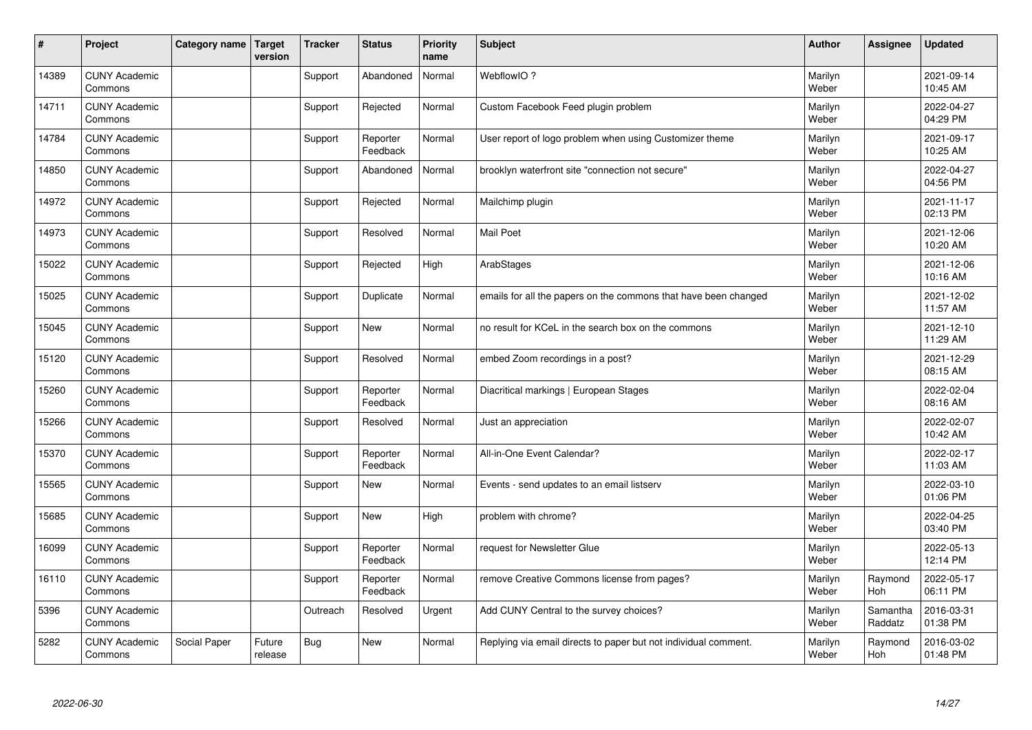| #     | Project                         | Category name | <b>Target</b><br>version | <b>Tracker</b> | <b>Status</b>        | <b>Priority</b><br>name | <b>Subject</b>                                                  | <b>Author</b>    | Assignee            | <b>Updated</b>         |
|-------|---------------------------------|---------------|--------------------------|----------------|----------------------|-------------------------|-----------------------------------------------------------------|------------------|---------------------|------------------------|
| 14389 | <b>CUNY Academic</b><br>Commons |               |                          | Support        | Abandoned            | Normal                  | WebflowIO?                                                      | Marilyn<br>Weber |                     | 2021-09-14<br>10:45 AM |
| 14711 | <b>CUNY Academic</b><br>Commons |               |                          | Support        | Rejected             | Normal                  | Custom Facebook Feed plugin problem                             | Marilyn<br>Weber |                     | 2022-04-27<br>04:29 PM |
| 14784 | <b>CUNY Academic</b><br>Commons |               |                          | Support        | Reporter<br>Feedback | Normal                  | User report of logo problem when using Customizer theme         | Marilyn<br>Weber |                     | 2021-09-17<br>10:25 AM |
| 14850 | <b>CUNY Academic</b><br>Commons |               |                          | Support        | Abandoned            | Normal                  | brooklyn waterfront site "connection not secure"                | Marilyn<br>Weber |                     | 2022-04-27<br>04:56 PM |
| 14972 | <b>CUNY Academic</b><br>Commons |               |                          | Support        | Rejected             | Normal                  | Mailchimp plugin                                                | Marilyn<br>Weber |                     | 2021-11-17<br>02:13 PM |
| 14973 | <b>CUNY Academic</b><br>Commons |               |                          | Support        | Resolved             | Normal                  | <b>Mail Poet</b>                                                | Marilyn<br>Weber |                     | 2021-12-06<br>10:20 AM |
| 15022 | <b>CUNY Academic</b><br>Commons |               |                          | Support        | Rejected             | High                    | ArabStages                                                      | Marilyn<br>Weber |                     | 2021-12-06<br>10:16 AM |
| 15025 | <b>CUNY Academic</b><br>Commons |               |                          | Support        | Duplicate            | Normal                  | emails for all the papers on the commons that have been changed | Marilyn<br>Weber |                     | 2021-12-02<br>11:57 AM |
| 15045 | <b>CUNY Academic</b><br>Commons |               |                          | Support        | New                  | Normal                  | no result for KCeL in the search box on the commons             | Marilyn<br>Weber |                     | 2021-12-10<br>11:29 AM |
| 15120 | <b>CUNY Academic</b><br>Commons |               |                          | Support        | Resolved             | Normal                  | embed Zoom recordings in a post?                                | Marilyn<br>Weber |                     | 2021-12-29<br>08:15 AM |
| 15260 | <b>CUNY Academic</b><br>Commons |               |                          | Support        | Reporter<br>Feedback | Normal                  | Diacritical markings   European Stages                          | Marilyn<br>Weber |                     | 2022-02-04<br>08:16 AM |
| 15266 | <b>CUNY Academic</b><br>Commons |               |                          | Support        | Resolved             | Normal                  | Just an appreciation                                            | Marilyn<br>Weber |                     | 2022-02-07<br>10:42 AM |
| 15370 | <b>CUNY Academic</b><br>Commons |               |                          | Support        | Reporter<br>Feedback | Normal                  | All-in-One Event Calendar?                                      | Marilyn<br>Weber |                     | 2022-02-17<br>11:03 AM |
| 15565 | <b>CUNY Academic</b><br>Commons |               |                          | Support        | New                  | Normal                  | Events - send updates to an email listserv                      | Marilyn<br>Weber |                     | 2022-03-10<br>01:06 PM |
| 15685 | <b>CUNY Academic</b><br>Commons |               |                          | Support        | New                  | High                    | problem with chrome?                                            | Marilyn<br>Weber |                     | 2022-04-25<br>03:40 PM |
| 16099 | <b>CUNY Academic</b><br>Commons |               |                          | Support        | Reporter<br>Feedback | Normal                  | request for Newsletter Glue                                     | Marilyn<br>Weber |                     | 2022-05-13<br>12:14 PM |
| 16110 | <b>CUNY Academic</b><br>Commons |               |                          | Support        | Reporter<br>Feedback | Normal                  | remove Creative Commons license from pages?                     | Marilyn<br>Weber | Raymond<br>Hoh      | 2022-05-17<br>06:11 PM |
| 5396  | <b>CUNY Academic</b><br>Commons |               |                          | Outreach       | Resolved             | Urgent                  | Add CUNY Central to the survey choices?                         | Marilyn<br>Weber | Samantha<br>Raddatz | 2016-03-31<br>01:38 PM |
| 5282  | <b>CUNY Academic</b><br>Commons | Social Paper  | Future<br>release        | Bug            | <b>New</b>           | Normal                  | Replying via email directs to paper but not individual comment. | Marilyn<br>Weber | Raymond<br>Hoh      | 2016-03-02<br>01:48 PM |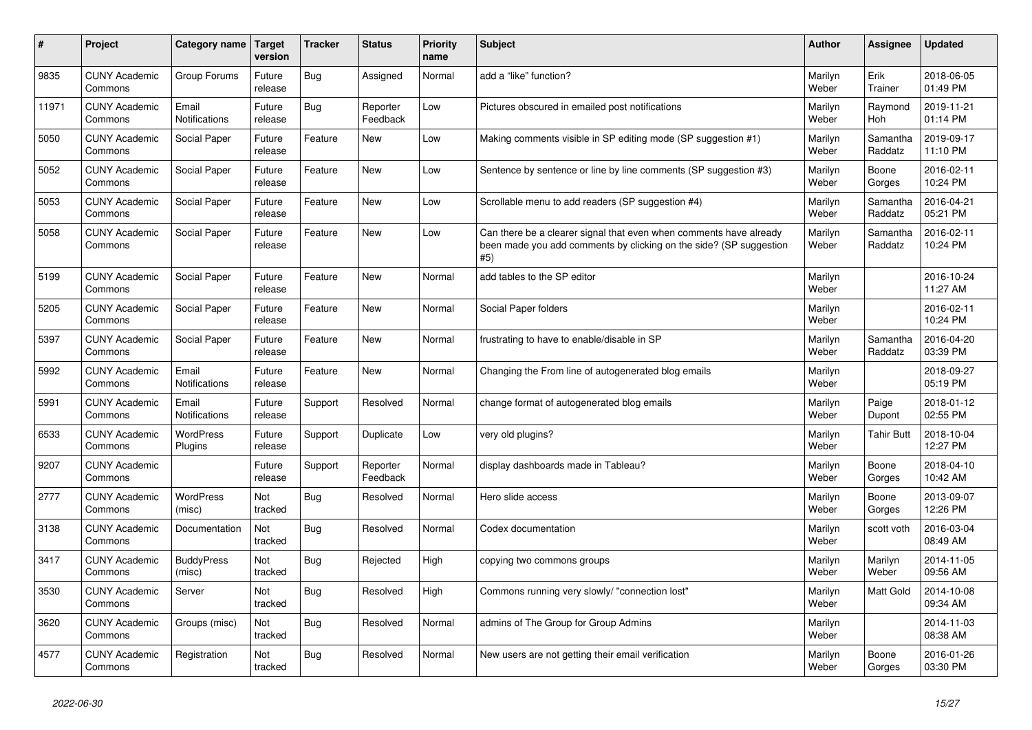| #     | Project                         | Category name               | Target<br>version | <b>Tracker</b> | <b>Status</b>        | <b>Priority</b><br>name | <b>Subject</b>                                                                                                                                  | <b>Author</b>    | <b>Assignee</b>     | <b>Updated</b>         |
|-------|---------------------------------|-----------------------------|-------------------|----------------|----------------------|-------------------------|-------------------------------------------------------------------------------------------------------------------------------------------------|------------------|---------------------|------------------------|
| 9835  | <b>CUNY Academic</b><br>Commons | Group Forums                | Future<br>release | Bug            | Assigned             | Normal                  | add a "like" function?                                                                                                                          | Marilyn<br>Weber | Erik<br>Trainer     | 2018-06-05<br>01:49 PM |
| 11971 | <b>CUNY Academic</b><br>Commons | Email<br>Notifications      | Future<br>release | <b>Bug</b>     | Reporter<br>Feedback | Low                     | Pictures obscured in emailed post notifications                                                                                                 | Marilyn<br>Weber | Raymond<br>Hoh      | 2019-11-21<br>01:14 PM |
| 5050  | <b>CUNY Academic</b><br>Commons | Social Paper                | Future<br>release | Feature        | New                  | Low                     | Making comments visible in SP editing mode (SP suggestion #1)                                                                                   | Marilyn<br>Weber | Samantha<br>Raddatz | 2019-09-17<br>11:10 PM |
| 5052  | <b>CUNY Academic</b><br>Commons | Social Paper                | Future<br>release | Feature        | New                  | Low                     | Sentence by sentence or line by line comments (SP suggestion #3)                                                                                | Marilyn<br>Weber | Boone<br>Gorges     | 2016-02-11<br>10:24 PM |
| 5053  | <b>CUNY Academic</b><br>Commons | Social Paper                | Future<br>release | Feature        | <b>New</b>           | Low                     | Scrollable menu to add readers (SP suggestion #4)                                                                                               | Marilyn<br>Weber | Samantha<br>Raddatz | 2016-04-21<br>05:21 PM |
| 5058  | <b>CUNY Academic</b><br>Commons | Social Paper                | Future<br>release | Feature        | New                  | Low                     | Can there be a clearer signal that even when comments have already<br>been made you add comments by clicking on the side? (SP suggestion<br>#5) | Marilyn<br>Weber | Samantha<br>Raddatz | 2016-02-11<br>10:24 PM |
| 5199  | <b>CUNY Academic</b><br>Commons | Social Paper                | Future<br>release | Feature        | <b>New</b>           | Normal                  | add tables to the SP editor                                                                                                                     | Marilyn<br>Weber |                     | 2016-10-24<br>11:27 AM |
| 5205  | <b>CUNY Academic</b><br>Commons | Social Paper                | Future<br>release | Feature        | New                  | Normal                  | Social Paper folders                                                                                                                            | Marilyn<br>Weber |                     | 2016-02-11<br>10:24 PM |
| 5397  | <b>CUNY Academic</b><br>Commons | Social Paper                | Future<br>release | Feature        | New                  | Normal                  | frustrating to have to enable/disable in SP                                                                                                     | Marilyn<br>Weber | Samantha<br>Raddatz | 2016-04-20<br>03:39 PM |
| 5992  | <b>CUNY Academic</b><br>Commons | Email<br>Notifications      | Future<br>release | Feature        | New                  | Normal                  | Changing the From line of autogenerated blog emails                                                                                             | Marilyn<br>Weber |                     | 2018-09-27<br>05:19 PM |
| 5991  | <b>CUNY Academic</b><br>Commons | Email<br>Notifications      | Future<br>release | Support        | Resolved             | Normal                  | change format of autogenerated blog emails                                                                                                      | Marilyn<br>Weber | Paige<br>Dupont     | 2018-01-12<br>02:55 PM |
| 6533  | <b>CUNY Academic</b><br>Commons | WordPress<br>Plugins        | Future<br>release | Support        | Duplicate            | Low                     | very old plugins?                                                                                                                               | Marilyn<br>Weber | Tahir Butt          | 2018-10-04<br>12:27 PM |
| 9207  | <b>CUNY Academic</b><br>Commons |                             | Future<br>release | Support        | Reporter<br>Feedback | Normal                  | display dashboards made in Tableau?                                                                                                             | Marilyn<br>Weber | Boone<br>Gorges     | 2018-04-10<br>10:42 AM |
| 2777  | <b>CUNY Academic</b><br>Commons | WordPress<br>(misc)         | Not<br>tracked    | Bug            | Resolved             | Normal                  | Hero slide access                                                                                                                               | Marilyn<br>Weber | Boone<br>Gorges     | 2013-09-07<br>12:26 PM |
| 3138  | <b>CUNY Academic</b><br>Commons | Documentation               | Not<br>tracked    | Bug            | Resolved             | Normal                  | Codex documentation                                                                                                                             | Marilyn<br>Weber | scott voth          | 2016-03-04<br>08:49 AM |
| 3417  | <b>CUNY Academic</b><br>Commons | <b>BuddyPress</b><br>(misc) | Not<br>tracked    | Bug            | Rejected             | High                    | copying two commons groups                                                                                                                      | Marilyn<br>Weber | Marilyn<br>Weber    | 2014-11-05<br>09:56 AM |
| 3530  | <b>CUNY Academic</b><br>Commons | Server                      | Not<br>tracked    | <b>Bug</b>     | Resolved             | High                    | Commons running very slowly/ "connection lost"                                                                                                  | Marilyn<br>Weber | <b>Matt Gold</b>    | 2014-10-08<br>09:34 AM |
| 3620  | <b>CUNY Academic</b><br>Commons | Groups (misc)               | Not<br>tracked    | Bug            | Resolved             | Normal                  | admins of The Group for Group Admins                                                                                                            | Marilyn<br>Weber |                     | 2014-11-03<br>08:38 AM |
| 4577  | <b>CUNY Academic</b><br>Commons | Registration                | Not<br>tracked    | <b>Bug</b>     | Resolved             | Normal                  | New users are not getting their email verification                                                                                              | Marilyn<br>Weber | Boone<br>Gorges     | 2016-01-26<br>03:30 PM |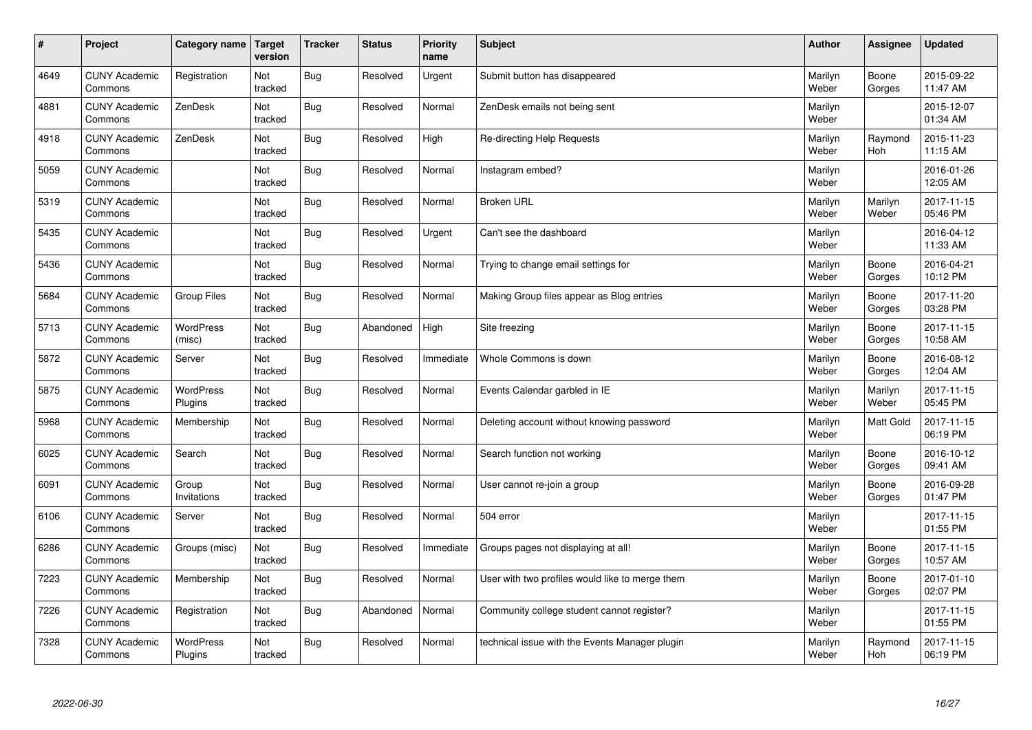| #    | Project                         | Category name               | <b>Target</b><br>version | <b>Tracker</b> | <b>Status</b> | <b>Priority</b><br>name | <b>Subject</b>                                  | <b>Author</b>    | Assignee              | <b>Updated</b>         |
|------|---------------------------------|-----------------------------|--------------------------|----------------|---------------|-------------------------|-------------------------------------------------|------------------|-----------------------|------------------------|
| 4649 | <b>CUNY Academic</b><br>Commons | Registration                | Not<br>tracked           | <b>Bug</b>     | Resolved      | Urgent                  | Submit button has disappeared                   | Marilyn<br>Weber | Boone<br>Gorges       | 2015-09-22<br>11:47 AM |
| 4881 | <b>CUNY Academic</b><br>Commons | ZenDesk                     | Not<br>tracked           | Bug            | Resolved      | Normal                  | ZenDesk emails not being sent                   | Marilyn<br>Weber |                       | 2015-12-07<br>01:34 AM |
| 4918 | <b>CUNY Academic</b><br>Commons | ZenDesk                     | Not<br>tracked           | <b>Bug</b>     | Resolved      | High                    | Re-directing Help Requests                      | Marilyn<br>Weber | Raymond<br><b>Hoh</b> | 2015-11-23<br>11:15 AM |
| 5059 | <b>CUNY Academic</b><br>Commons |                             | Not<br>tracked           | <b>Bug</b>     | Resolved      | Normal                  | Instagram embed?                                | Marilyn<br>Weber |                       | 2016-01-26<br>12:05 AM |
| 5319 | <b>CUNY Academic</b><br>Commons |                             | Not<br>tracked           | <b>Bug</b>     | Resolved      | Normal                  | <b>Broken URL</b>                               | Marilyn<br>Weber | Marilyn<br>Weber      | 2017-11-15<br>05:46 PM |
| 5435 | <b>CUNY Academic</b><br>Commons |                             | Not<br>tracked           | Bug            | Resolved      | Urgent                  | Can't see the dashboard                         | Marilyn<br>Weber |                       | 2016-04-12<br>11:33 AM |
| 5436 | <b>CUNY Academic</b><br>Commons |                             | Not<br>tracked           | Bug            | Resolved      | Normal                  | Trying to change email settings for             | Marilyn<br>Weber | Boone<br>Gorges       | 2016-04-21<br>10:12 PM |
| 5684 | <b>CUNY Academic</b><br>Commons | Group Files                 | Not<br>tracked           | <b>Bug</b>     | Resolved      | Normal                  | Making Group files appear as Blog entries       | Marilyn<br>Weber | Boone<br>Gorges       | 2017-11-20<br>03:28 PM |
| 5713 | <b>CUNY Academic</b><br>Commons | WordPress<br>(misc)         | Not<br>tracked           | <b>Bug</b>     | Abandoned     | High                    | Site freezing                                   | Marilyn<br>Weber | Boone<br>Gorges       | 2017-11-15<br>10:58 AM |
| 5872 | <b>CUNY Academic</b><br>Commons | Server                      | Not<br>tracked           | <b>Bug</b>     | Resolved      | Immediate               | Whole Commons is down                           | Marilyn<br>Weber | Boone<br>Gorges       | 2016-08-12<br>12:04 AM |
| 5875 | <b>CUNY Academic</b><br>Commons | <b>WordPress</b><br>Plugins | Not<br>tracked           | Bug            | Resolved      | Normal                  | Events Calendar garbled in IE                   | Marilyn<br>Weber | Marilyn<br>Weber      | 2017-11-15<br>05:45 PM |
| 5968 | <b>CUNY Academic</b><br>Commons | Membership                  | Not<br>tracked           | Bug            | Resolved      | Normal                  | Deleting account without knowing password       | Marilyn<br>Weber | Matt Gold             | 2017-11-15<br>06:19 PM |
| 6025 | <b>CUNY Academic</b><br>Commons | Search                      | Not<br>tracked           | Bug            | Resolved      | Normal                  | Search function not working                     | Marilyn<br>Weber | Boone<br>Gorges       | 2016-10-12<br>09:41 AM |
| 6091 | <b>CUNY Academic</b><br>Commons | Group<br>Invitations        | Not<br>tracked           | Bug            | Resolved      | Normal                  | User cannot re-join a group                     | Marilyn<br>Weber | Boone<br>Gorges       | 2016-09-28<br>01:47 PM |
| 6106 | <b>CUNY Academic</b><br>Commons | Server                      | Not<br>tracked           | <b>Bug</b>     | Resolved      | Normal                  | 504 error                                       | Marilyn<br>Weber |                       | 2017-11-15<br>01:55 PM |
| 6286 | <b>CUNY Academic</b><br>Commons | Groups (misc)               | Not<br>tracked           | <b>Bug</b>     | Resolved      | Immediate               | Groups pages not displaying at all!             | Marilyn<br>Weber | Boone<br>Gorges       | 2017-11-15<br>10:57 AM |
| 7223 | <b>CUNY Academic</b><br>Commons | Membership                  | Not<br>tracked           | <b>Bug</b>     | Resolved      | Normal                  | User with two profiles would like to merge them | Marilyn<br>Weber | Boone<br>Gorges       | 2017-01-10<br>02:07 PM |
| 7226 | <b>CUNY Academic</b><br>Commons | Registration                | Not<br>tracked           | Bug            | Abandoned     | Normal                  | Community college student cannot register?      | Marilyn<br>Weber |                       | 2017-11-15<br>01:55 PM |
| 7328 | <b>CUNY Academic</b><br>Commons | <b>WordPress</b><br>Plugins | Not<br>tracked           | <b>Bug</b>     | Resolved      | Normal                  | technical issue with the Events Manager plugin  | Marilyn<br>Weber | Raymond<br>Hoh        | 2017-11-15<br>06:19 PM |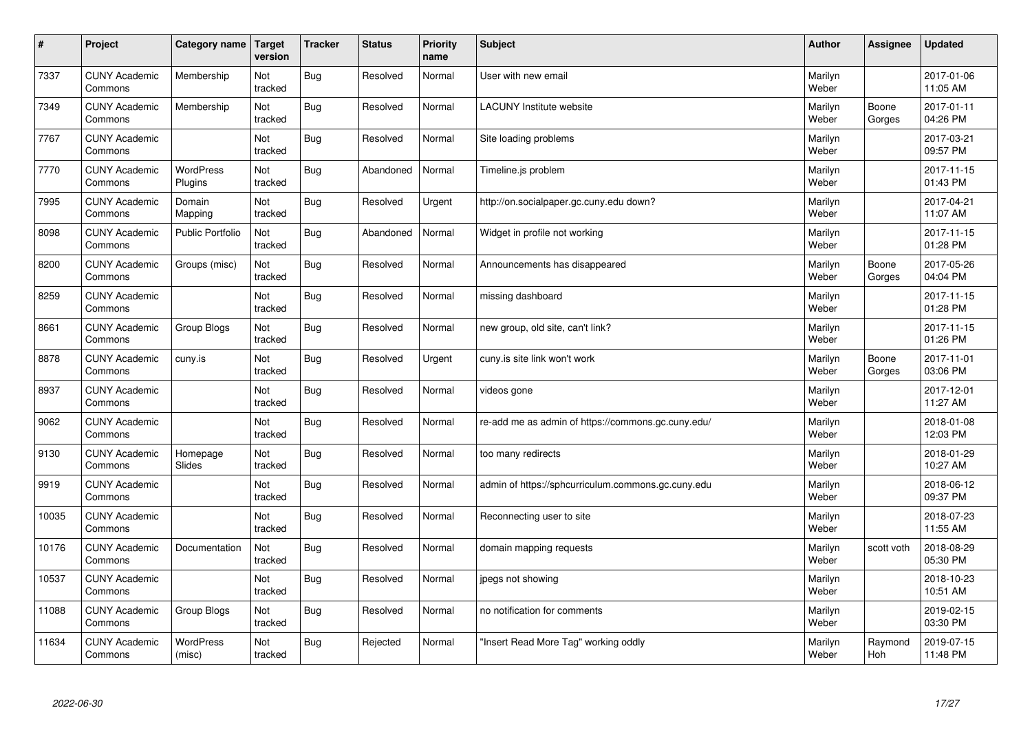| $\vert$ # | Project                         | Category name              | <b>Target</b><br>version | <b>Tracker</b> | <b>Status</b> | <b>Priority</b><br>name | <b>Subject</b>                                     | <b>Author</b>    | Assignee              | Updated                |
|-----------|---------------------------------|----------------------------|--------------------------|----------------|---------------|-------------------------|----------------------------------------------------|------------------|-----------------------|------------------------|
| 7337      | <b>CUNY Academic</b><br>Commons | Membership                 | Not<br>tracked           | Bug            | Resolved      | Normal                  | User with new email                                | Marilyn<br>Weber |                       | 2017-01-06<br>11:05 AM |
| 7349      | <b>CUNY Academic</b><br>Commons | Membership                 | Not<br>tracked           | Bug            | Resolved      | Normal                  | LACUNY Institute website                           | Marilyn<br>Weber | Boone<br>Gorges       | 2017-01-11<br>04:26 PM |
| 7767      | <b>CUNY Academic</b><br>Commons |                            | Not<br>tracked           | Bug            | Resolved      | Normal                  | Site loading problems                              | Marilyn<br>Weber |                       | 2017-03-21<br>09:57 PM |
| 7770      | <b>CUNY Academic</b><br>Commons | WordPress<br>Plugins       | Not<br>tracked           | <b>Bug</b>     | Abandoned     | Normal                  | Timeline.js problem                                | Marilyn<br>Weber |                       | 2017-11-15<br>01:43 PM |
| 7995      | <b>CUNY Academic</b><br>Commons | Domain<br>Mapping          | Not<br>tracked           | Bug            | Resolved      | Urgent                  | http://on.socialpaper.gc.cuny.edu down?            | Marilyn<br>Weber |                       | 2017-04-21<br>11:07 AM |
| 8098      | <b>CUNY Academic</b><br>Commons | Public Portfolio           | Not<br>tracked           | Bug            | Abandoned     | Normal                  | Widget in profile not working                      | Marilyn<br>Weber |                       | 2017-11-15<br>01:28 PM |
| 8200      | <b>CUNY Academic</b><br>Commons | Groups (misc)              | Not<br>tracked           | Bug            | Resolved      | Normal                  | Announcements has disappeared                      | Marilyn<br>Weber | Boone<br>Gorges       | 2017-05-26<br>04:04 PM |
| 8259      | <b>CUNY Academic</b><br>Commons |                            | Not<br>tracked           | Bug            | Resolved      | Normal                  | missing dashboard                                  | Marilyn<br>Weber |                       | 2017-11-15<br>01:28 PM |
| 8661      | <b>CUNY Academic</b><br>Commons | Group Blogs                | Not<br>tracked           | Bug            | Resolved      | Normal                  | new group, old site, can't link?                   | Marilyn<br>Weber |                       | 2017-11-15<br>01:26 PM |
| 8878      | <b>CUNY Academic</b><br>Commons | cuny.is                    | Not<br>tracked           | Bug            | Resolved      | Urgent                  | cuny is site link won't work                       | Marilyn<br>Weber | Boone<br>Gorges       | 2017-11-01<br>03:06 PM |
| 8937      | <b>CUNY Academic</b><br>Commons |                            | Not<br>tracked           | Bug            | Resolved      | Normal                  | videos gone                                        | Marilyn<br>Weber |                       | 2017-12-01<br>11:27 AM |
| 9062      | <b>CUNY Academic</b><br>Commons |                            | Not<br>tracked           | Bug            | Resolved      | Normal                  | re-add me as admin of https://commons.gc.cuny.edu/ | Marilyn<br>Weber |                       | 2018-01-08<br>12:03 PM |
| 9130      | <b>CUNY Academic</b><br>Commons | Homepage<br>Slides         | Not<br>tracked           | Bug            | Resolved      | Normal                  | too many redirects                                 | Marilyn<br>Weber |                       | 2018-01-29<br>10:27 AM |
| 9919      | <b>CUNY Academic</b><br>Commons |                            | Not<br>tracked           | Bug            | Resolved      | Normal                  | admin of https://sphcurriculum.commons.gc.cuny.edu | Marilyn<br>Weber |                       | 2018-06-12<br>09:37 PM |
| 10035     | <b>CUNY Academic</b><br>Commons |                            | Not<br>tracked           | Bug            | Resolved      | Normal                  | Reconnecting user to site                          | Marilyn<br>Weber |                       | 2018-07-23<br>11:55 AM |
| 10176     | <b>CUNY Academic</b><br>Commons | Documentation              | Not<br>tracked           | Bug            | Resolved      | Normal                  | domain mapping requests                            | Marilyn<br>Weber | scott voth            | 2018-08-29<br>05:30 PM |
| 10537     | <b>CUNY Academic</b><br>Commons |                            | Not<br>tracked           | Bug            | Resolved      | Normal                  | jpegs not showing                                  | Marilyn<br>Weber |                       | 2018-10-23<br>10:51 AM |
| 11088     | <b>CUNY Academic</b><br>Commons | Group Blogs                | Not<br>tracked           | <b>Bug</b>     | Resolved      | Normal                  | no notification for comments                       | Marilyn<br>Weber |                       | 2019-02-15<br>03:30 PM |
| 11634     | <b>CUNY Academic</b><br>Commons | <b>WordPress</b><br>(misc) | Not<br>tracked           | Bug            | Rejected      | Normal                  | 'Insert Read More Tag" working oddly               | Marilyn<br>Weber | Raymond<br><b>Hoh</b> | 2019-07-15<br>11:48 PM |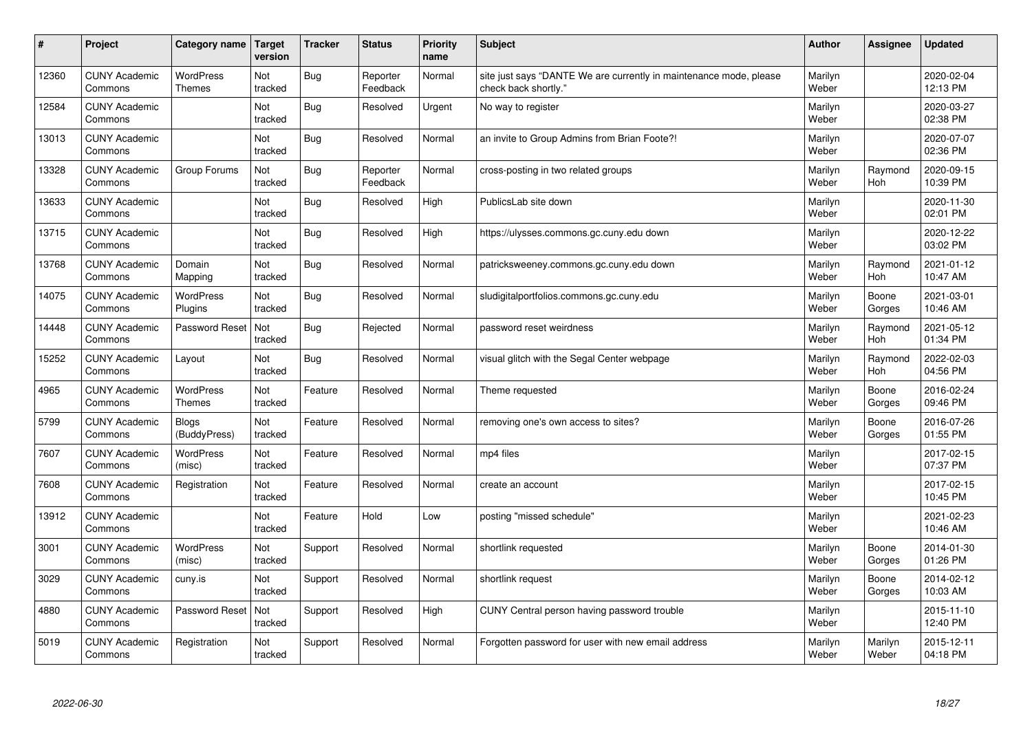| #     | Project                         | Category name                     | <b>Target</b><br>version | <b>Tracker</b> | <b>Status</b>        | <b>Priority</b><br>name | <b>Subject</b>                                                                             | <b>Author</b>    | Assignee         | <b>Updated</b>         |
|-------|---------------------------------|-----------------------------------|--------------------------|----------------|----------------------|-------------------------|--------------------------------------------------------------------------------------------|------------------|------------------|------------------------|
| 12360 | <b>CUNY Academic</b><br>Commons | <b>WordPress</b><br><b>Themes</b> | Not<br>tracked           | <b>Bug</b>     | Reporter<br>Feedback | Normal                  | site just says "DANTE We are currently in maintenance mode, please<br>check back shortly." | Marilyn<br>Weber |                  | 2020-02-04<br>12:13 PM |
| 12584 | <b>CUNY Academic</b><br>Commons |                                   | Not<br>tracked           | <b>Bug</b>     | Resolved             | Urgent                  | No way to register                                                                         | Marilyn<br>Weber |                  | 2020-03-27<br>02:38 PM |
| 13013 | <b>CUNY Academic</b><br>Commons |                                   | Not<br>tracked           | Bug            | Resolved             | Normal                  | an invite to Group Admins from Brian Foote?!                                               | Marilyn<br>Weber |                  | 2020-07-07<br>02:36 PM |
| 13328 | <b>CUNY Academic</b><br>Commons | Group Forums                      | Not<br>tracked           | Bug            | Reporter<br>Feedback | Normal                  | cross-posting in two related groups                                                        | Marilyn<br>Weber | Raymond<br>Hoh   | 2020-09-15<br>10:39 PM |
| 13633 | <b>CUNY Academic</b><br>Commons |                                   | Not<br>tracked           | <b>Bug</b>     | Resolved             | High                    | PublicsLab site down                                                                       | Marilyn<br>Weber |                  | 2020-11-30<br>02:01 PM |
| 13715 | <b>CUNY Academic</b><br>Commons |                                   | Not<br>tracked           | Bug            | Resolved             | High                    | https://ulysses.commons.gc.cuny.edu down                                                   | Marilyn<br>Weber |                  | 2020-12-22<br>03:02 PM |
| 13768 | <b>CUNY Academic</b><br>Commons | Domain<br>Mapping                 | Not<br>tracked           | <b>Bug</b>     | Resolved             | Normal                  | patricksweeney.commons.gc.cuny.edu down                                                    | Marilyn<br>Weber | Raymond<br>Hoh   | 2021-01-12<br>10:47 AM |
| 14075 | <b>CUNY Academic</b><br>Commons | <b>WordPress</b><br>Plugins       | Not<br>tracked           | Bug            | Resolved             | Normal                  | sludigitalportfolios.commons.gc.cuny.edu                                                   | Marilyn<br>Weber | Boone<br>Gorges  | 2021-03-01<br>10:46 AM |
| 14448 | <b>CUNY Academic</b><br>Commons | Password Reset                    | Not<br>tracked           | <b>Bug</b>     | Rejected             | Normal                  | password reset weirdness                                                                   | Marilyn<br>Weber | Raymond<br>Hoh   | 2021-05-12<br>01:34 PM |
| 15252 | <b>CUNY Academic</b><br>Commons | Layout                            | Not<br>tracked           | <b>Bug</b>     | Resolved             | Normal                  | visual glitch with the Segal Center webpage                                                | Marilyn<br>Weber | Raymond<br>Hoh   | 2022-02-03<br>04:56 PM |
| 4965  | <b>CUNY Academic</b><br>Commons | <b>WordPress</b><br><b>Themes</b> | Not<br>tracked           | Feature        | Resolved             | Normal                  | Theme requested                                                                            | Marilyn<br>Weber | Boone<br>Gorges  | 2016-02-24<br>09:46 PM |
| 5799  | <b>CUNY Academic</b><br>Commons | <b>Blogs</b><br>(BuddyPress)      | Not<br>tracked           | Feature        | Resolved             | Normal                  | removing one's own access to sites?                                                        | Marilyn<br>Weber | Boone<br>Gorges  | 2016-07-26<br>01:55 PM |
| 7607  | <b>CUNY Academic</b><br>Commons | WordPress<br>(misc)               | Not<br>tracked           | Feature        | Resolved             | Normal                  | mp4 files                                                                                  | Marilyn<br>Weber |                  | 2017-02-15<br>07:37 PM |
| 7608  | <b>CUNY Academic</b><br>Commons | Registration                      | Not<br>tracked           | Feature        | Resolved             | Normal                  | create an account                                                                          | Marilyn<br>Weber |                  | 2017-02-15<br>10:45 PM |
| 13912 | <b>CUNY Academic</b><br>Commons |                                   | Not<br>tracked           | Feature        | Hold                 | Low                     | posting "missed schedule"                                                                  | Marilyn<br>Weber |                  | 2021-02-23<br>10:46 AM |
| 3001  | <b>CUNY Academic</b><br>Commons | WordPress<br>(misc)               | Not<br>tracked           | Support        | Resolved             | Normal                  | shortlink requested                                                                        | Marilyn<br>Weber | Boone<br>Gorges  | 2014-01-30<br>01:26 PM |
| 3029  | <b>CUNY Academic</b><br>Commons | cuny.is                           | Not<br>tracked           | Support        | Resolved             | Normal                  | shortlink request                                                                          | Marilyn<br>Weber | Boone<br>Gorges  | 2014-02-12<br>10:03 AM |
| 4880  | <b>CUNY Academic</b><br>Commons | Password Reset                    | Not<br>tracked           | Support        | Resolved             | High                    | CUNY Central person having password trouble                                                | Marilyn<br>Weber |                  | 2015-11-10<br>12:40 PM |
| 5019  | <b>CUNY Academic</b><br>Commons | Registration                      | Not<br>tracked           | Support        | Resolved             | Normal                  | Forgotten password for user with new email address                                         | Marilyn<br>Weber | Marilyn<br>Weber | 2015-12-11<br>04:18 PM |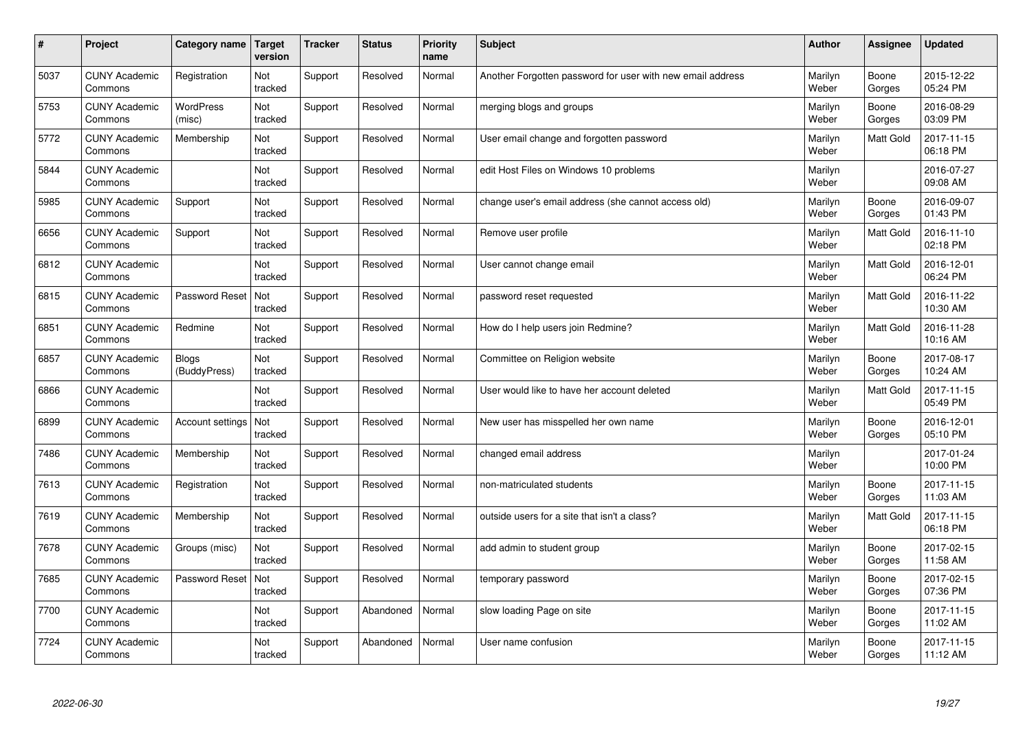| $\vert$ # | Project                         | Category name         | <b>Target</b><br>version | <b>Tracker</b> | <b>Status</b> | <b>Priority</b><br>name | <b>Subject</b>                                             | <b>Author</b>    | Assignee        | <b>Updated</b>         |
|-----------|---------------------------------|-----------------------|--------------------------|----------------|---------------|-------------------------|------------------------------------------------------------|------------------|-----------------|------------------------|
| 5037      | <b>CUNY Academic</b><br>Commons | Registration          | Not<br>tracked           | Support        | Resolved      | Normal                  | Another Forgotten password for user with new email address | Marilyn<br>Weber | Boone<br>Gorges | 2015-12-22<br>05:24 PM |
| 5753      | <b>CUNY Academic</b><br>Commons | WordPress<br>(misc)   | Not<br>tracked           | Support        | Resolved      | Normal                  | merging blogs and groups                                   | Marilyn<br>Weber | Boone<br>Gorges | 2016-08-29<br>03:09 PM |
| 5772      | <b>CUNY Academic</b><br>Commons | Membership            | Not<br>tracked           | Support        | Resolved      | Normal                  | User email change and forgotten password                   | Marilyn<br>Weber | Matt Gold       | 2017-11-15<br>06:18 PM |
| 5844      | <b>CUNY Academic</b><br>Commons |                       | Not<br>tracked           | Support        | Resolved      | Normal                  | edit Host Files on Windows 10 problems                     | Marilyn<br>Weber |                 | 2016-07-27<br>09:08 AM |
| 5985      | <b>CUNY Academic</b><br>Commons | Support               | Not<br>tracked           | Support        | Resolved      | Normal                  | change user's email address (she cannot access old)        | Marilyn<br>Weber | Boone<br>Gorges | 2016-09-07<br>01:43 PM |
| 6656      | <b>CUNY Academic</b><br>Commons | Support               | Not<br>tracked           | Support        | Resolved      | Normal                  | Remove user profile                                        | Marilyn<br>Weber | Matt Gold       | 2016-11-10<br>02:18 PM |
| 6812      | <b>CUNY Academic</b><br>Commons |                       | Not<br>tracked           | Support        | Resolved      | Normal                  | User cannot change email                                   | Marilyn<br>Weber | Matt Gold       | 2016-12-01<br>06:24 PM |
| 6815      | <b>CUNY Academic</b><br>Commons | Password Reset        | Not<br>tracked           | Support        | Resolved      | Normal                  | password reset requested                                   | Marilyn<br>Weber | Matt Gold       | 2016-11-22<br>10:30 AM |
| 6851      | <b>CUNY Academic</b><br>Commons | Redmine               | Not<br>tracked           | Support        | Resolved      | Normal                  | How do I help users join Redmine?                          | Marilyn<br>Weber | Matt Gold       | 2016-11-28<br>10:16 AM |
| 6857      | <b>CUNY Academic</b><br>Commons | Blogs<br>(BuddyPress) | Not<br>tracked           | Support        | Resolved      | Normal                  | Committee on Religion website                              | Marilyn<br>Weber | Boone<br>Gorges | 2017-08-17<br>10:24 AM |
| 6866      | <b>CUNY Academic</b><br>Commons |                       | Not<br>tracked           | Support        | Resolved      | Normal                  | User would like to have her account deleted                | Marilyn<br>Weber | Matt Gold       | 2017-11-15<br>05:49 PM |
| 6899      | <b>CUNY Academic</b><br>Commons | Account settings      | Not<br>tracked           | Support        | Resolved      | Normal                  | New user has misspelled her own name                       | Marilyn<br>Weber | Boone<br>Gorges | 2016-12-01<br>05:10 PM |
| 7486      | <b>CUNY Academic</b><br>Commons | Membership            | Not<br>tracked           | Support        | Resolved      | Normal                  | changed email address                                      | Marilyn<br>Weber |                 | 2017-01-24<br>10:00 PM |
| 7613      | <b>CUNY Academic</b><br>Commons | Registration          | Not<br>tracked           | Support        | Resolved      | Normal                  | non-matriculated students                                  | Marilyn<br>Weber | Boone<br>Gorges | 2017-11-15<br>11:03 AM |
| 7619      | <b>CUNY Academic</b><br>Commons | Membership            | Not<br>tracked           | Support        | Resolved      | Normal                  | outside users for a site that isn't a class?               | Marilyn<br>Weber | Matt Gold       | 2017-11-15<br>06:18 PM |
| 7678      | <b>CUNY Academic</b><br>Commons | Groups (misc)         | Not<br>tracked           | Support        | Resolved      | Normal                  | add admin to student group                                 | Marilyn<br>Weber | Boone<br>Gorges | 2017-02-15<br>11:58 AM |
| 7685      | <b>CUNY Academic</b><br>Commons | Password Reset        | Not<br>tracked           | Support        | Resolved      | Normal                  | temporary password                                         | Marilyn<br>Weber | Boone<br>Gorges | 2017-02-15<br>07:36 PM |
| 7700      | <b>CUNY Academic</b><br>Commons |                       | Not<br>tracked           | Support        | Abandoned     | Normal                  | slow loading Page on site                                  | Marilyn<br>Weber | Boone<br>Gorges | 2017-11-15<br>11:02 AM |
| 7724      | <b>CUNY Academic</b><br>Commons |                       | Not<br>tracked           | Support        | Abandoned     | Normal                  | User name confusion                                        | Marilyn<br>Weber | Boone<br>Gorges | 2017-11-15<br>11:12 AM |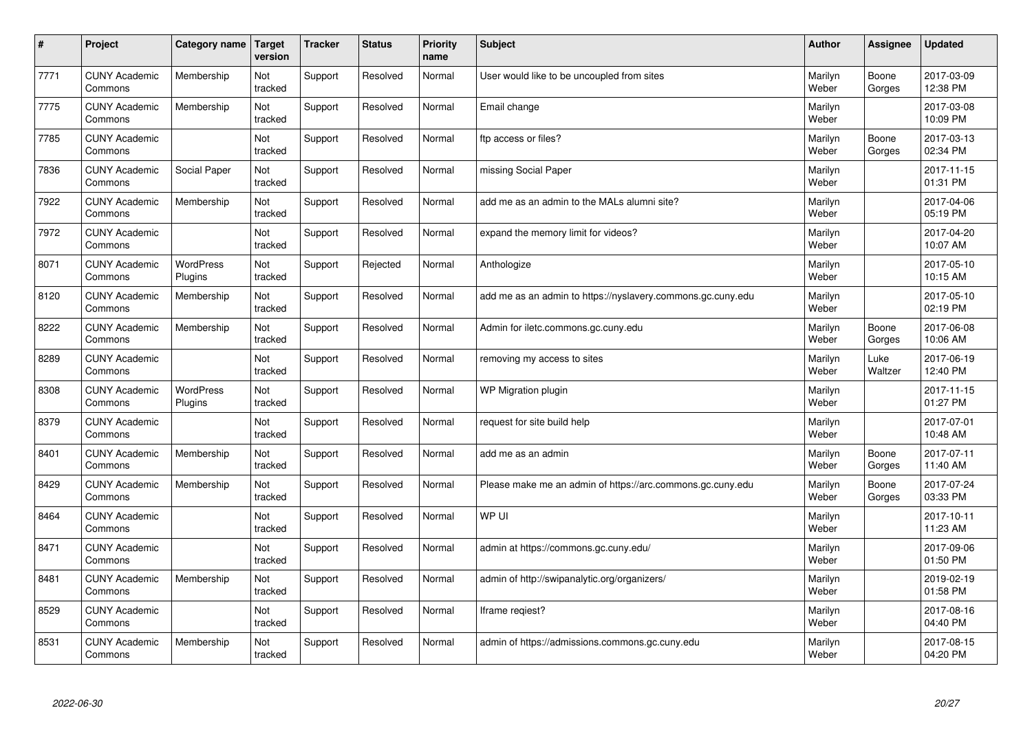| #    | Project                         | Category name        | <b>Target</b><br>version | <b>Tracker</b> | <b>Status</b> | <b>Priority</b><br>name | <b>Subject</b>                                              | <b>Author</b>    | Assignee        | <b>Updated</b>         |
|------|---------------------------------|----------------------|--------------------------|----------------|---------------|-------------------------|-------------------------------------------------------------|------------------|-----------------|------------------------|
| 7771 | <b>CUNY Academic</b><br>Commons | Membership           | Not<br>tracked           | Support        | Resolved      | Normal                  | User would like to be uncoupled from sites                  | Marilyn<br>Weber | Boone<br>Gorges | 2017-03-09<br>12:38 PM |
| 7775 | <b>CUNY Academic</b><br>Commons | Membership           | Not<br>tracked           | Support        | Resolved      | Normal                  | Email change                                                | Marilyn<br>Weber |                 | 2017-03-08<br>10:09 PM |
| 7785 | <b>CUNY Academic</b><br>Commons |                      | Not<br>tracked           | Support        | Resolved      | Normal                  | ftp access or files?                                        | Marilyn<br>Weber | Boone<br>Gorges | 2017-03-13<br>02:34 PM |
| 7836 | <b>CUNY Academic</b><br>Commons | Social Paper         | Not<br>tracked           | Support        | Resolved      | Normal                  | missing Social Paper                                        | Marilyn<br>Weber |                 | 2017-11-15<br>01:31 PM |
| 7922 | <b>CUNY Academic</b><br>Commons | Membership           | Not<br>tracked           | Support        | Resolved      | Normal                  | add me as an admin to the MALs alumni site?                 | Marilyn<br>Weber |                 | 2017-04-06<br>05:19 PM |
| 7972 | <b>CUNY Academic</b><br>Commons |                      | Not<br>tracked           | Support        | Resolved      | Normal                  | expand the memory limit for videos?                         | Marilyn<br>Weber |                 | 2017-04-20<br>10:07 AM |
| 8071 | <b>CUNY Academic</b><br>Commons | WordPress<br>Plugins | Not<br>tracked           | Support        | Rejected      | Normal                  | Anthologize                                                 | Marilyn<br>Weber |                 | 2017-05-10<br>10:15 AM |
| 8120 | <b>CUNY Academic</b><br>Commons | Membership           | Not<br>tracked           | Support        | Resolved      | Normal                  | add me as an admin to https://nyslavery.commons.gc.cuny.edu | Marilyn<br>Weber |                 | 2017-05-10<br>02:19 PM |
| 8222 | <b>CUNY Academic</b><br>Commons | Membership           | Not<br>tracked           | Support        | Resolved      | Normal                  | Admin for iletc.commons.gc.cuny.edu                         | Marilyn<br>Weber | Boone<br>Gorges | 2017-06-08<br>10:06 AM |
| 8289 | <b>CUNY Academic</b><br>Commons |                      | Not<br>tracked           | Support        | Resolved      | Normal                  | removing my access to sites                                 | Marilyn<br>Weber | Luke<br>Waltzer | 2017-06-19<br>12:40 PM |
| 8308 | <b>CUNY Academic</b><br>Commons | WordPress<br>Plugins | Not<br>tracked           | Support        | Resolved      | Normal                  | WP Migration plugin                                         | Marilyn<br>Weber |                 | 2017-11-15<br>01:27 PM |
| 8379 | <b>CUNY Academic</b><br>Commons |                      | Not<br>tracked           | Support        | Resolved      | Normal                  | request for site build help                                 | Marilyn<br>Weber |                 | 2017-07-01<br>10:48 AM |
| 8401 | <b>CUNY Academic</b><br>Commons | Membership           | Not<br>tracked           | Support        | Resolved      | Normal                  | add me as an admin                                          | Marilyn<br>Weber | Boone<br>Gorges | 2017-07-11<br>11:40 AM |
| 8429 | <b>CUNY Academic</b><br>Commons | Membership           | Not<br>tracked           | Support        | Resolved      | Normal                  | Please make me an admin of https://arc.commons.gc.cuny.edu  | Marilyn<br>Weber | Boone<br>Gorges | 2017-07-24<br>03:33 PM |
| 8464 | <b>CUNY Academic</b><br>Commons |                      | Not<br>tracked           | Support        | Resolved      | Normal                  | WP UI                                                       | Marilyn<br>Weber |                 | 2017-10-11<br>11:23 AM |
| 8471 | <b>CUNY Academic</b><br>Commons |                      | Not<br>tracked           | Support        | Resolved      | Normal                  | admin at https://commons.gc.cuny.edu/                       | Marilyn<br>Weber |                 | 2017-09-06<br>01:50 PM |
| 8481 | <b>CUNY Academic</b><br>Commons | Membership           | Not<br>tracked           | Support        | Resolved      | Normal                  | admin of http://swipanalytic.org/organizers/                | Marilyn<br>Weber |                 | 2019-02-19<br>01:58 PM |
| 8529 | <b>CUNY Academic</b><br>Commons |                      | Not<br>tracked           | Support        | Resolved      | Normal                  | lframe regiest?                                             | Marilyn<br>Weber |                 | 2017-08-16<br>04:40 PM |
| 8531 | <b>CUNY Academic</b><br>Commons | Membership           | Not<br>tracked           | Support        | Resolved      | Normal                  | admin of https://admissions.commons.gc.cuny.edu             | Marilyn<br>Weber |                 | 2017-08-15<br>04:20 PM |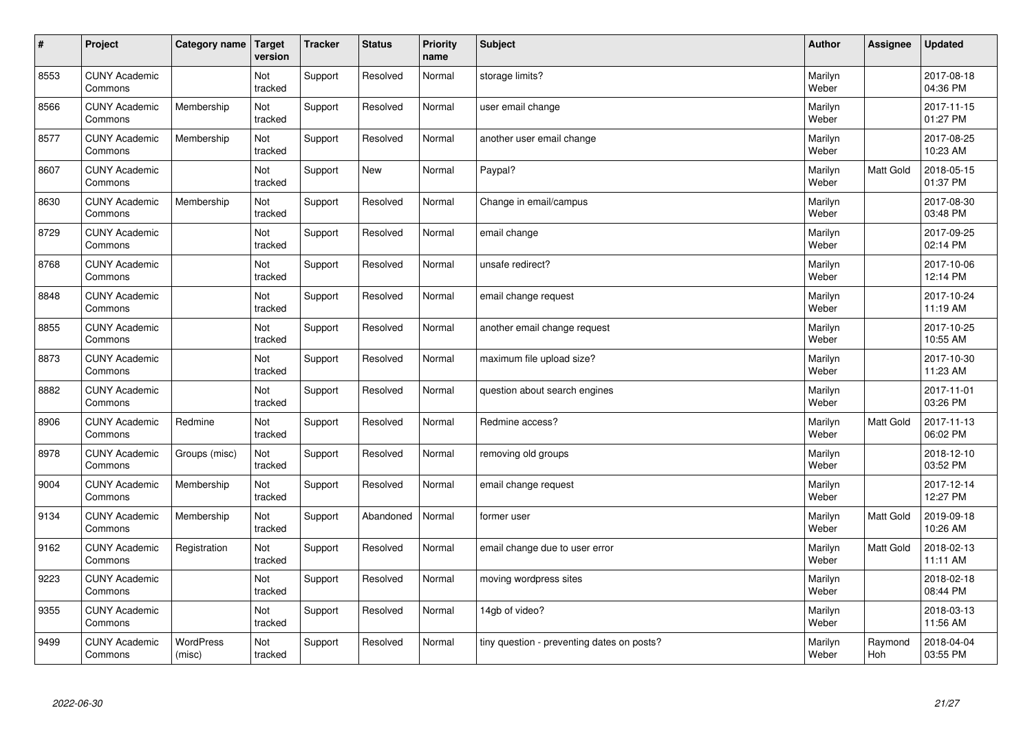| $\sharp$ | Project                         | Category name       | <b>Target</b><br>version | <b>Tracker</b> | <b>Status</b> | <b>Priority</b><br>name | <b>Subject</b>                             | <b>Author</b>    | Assignee       | <b>Updated</b>         |
|----------|---------------------------------|---------------------|--------------------------|----------------|---------------|-------------------------|--------------------------------------------|------------------|----------------|------------------------|
| 8553     | <b>CUNY Academic</b><br>Commons |                     | Not<br>tracked           | Support        | Resolved      | Normal                  | storage limits?                            | Marilyn<br>Weber |                | 2017-08-18<br>04:36 PM |
| 8566     | <b>CUNY Academic</b><br>Commons | Membership          | Not<br>tracked           | Support        | Resolved      | Normal                  | user email change                          | Marilyn<br>Weber |                | 2017-11-15<br>01:27 PM |
| 8577     | <b>CUNY Academic</b><br>Commons | Membership          | Not<br>tracked           | Support        | Resolved      | Normal                  | another user email change                  | Marilyn<br>Weber |                | 2017-08-25<br>10:23 AM |
| 8607     | <b>CUNY Academic</b><br>Commons |                     | Not<br>tracked           | Support        | <b>New</b>    | Normal                  | Paypal?                                    | Marilyn<br>Weber | Matt Gold      | 2018-05-15<br>01:37 PM |
| 8630     | <b>CUNY Academic</b><br>Commons | Membership          | Not<br>tracked           | Support        | Resolved      | Normal                  | Change in email/campus                     | Marilyn<br>Weber |                | 2017-08-30<br>03:48 PM |
| 8729     | <b>CUNY Academic</b><br>Commons |                     | Not<br>tracked           | Support        | Resolved      | Normal                  | email change                               | Marilyn<br>Weber |                | 2017-09-25<br>02:14 PM |
| 8768     | <b>CUNY Academic</b><br>Commons |                     | Not<br>tracked           | Support        | Resolved      | Normal                  | unsafe redirect?                           | Marilyn<br>Weber |                | 2017-10-06<br>12:14 PM |
| 8848     | <b>CUNY Academic</b><br>Commons |                     | Not<br>tracked           | Support        | Resolved      | Normal                  | email change request                       | Marilyn<br>Weber |                | 2017-10-24<br>11:19 AM |
| 8855     | <b>CUNY Academic</b><br>Commons |                     | Not<br>tracked           | Support        | Resolved      | Normal                  | another email change request               | Marilyn<br>Weber |                | 2017-10-25<br>10:55 AM |
| 8873     | <b>CUNY Academic</b><br>Commons |                     | Not<br>tracked           | Support        | Resolved      | Normal                  | maximum file upload size?                  | Marilyn<br>Weber |                | 2017-10-30<br>11:23 AM |
| 8882     | <b>CUNY Academic</b><br>Commons |                     | Not<br>tracked           | Support        | Resolved      | Normal                  | question about search engines              | Marilyn<br>Weber |                | 2017-11-01<br>03:26 PM |
| 8906     | <b>CUNY Academic</b><br>Commons | Redmine             | Not<br>tracked           | Support        | Resolved      | Normal                  | Redmine access?                            | Marilyn<br>Weber | Matt Gold      | 2017-11-13<br>06:02 PM |
| 8978     | <b>CUNY Academic</b><br>Commons | Groups (misc)       | Not<br>tracked           | Support        | Resolved      | Normal                  | removing old groups                        | Marilyn<br>Weber |                | 2018-12-10<br>03:52 PM |
| 9004     | <b>CUNY Academic</b><br>Commons | Membership          | Not<br>tracked           | Support        | Resolved      | Normal                  | email change request                       | Marilyn<br>Weber |                | 2017-12-14<br>12:27 PM |
| 9134     | <b>CUNY Academic</b><br>Commons | Membership          | Not<br>tracked           | Support        | Abandoned     | Normal                  | former user                                | Marilyn<br>Weber | Matt Gold      | 2019-09-18<br>10:26 AM |
| 9162     | <b>CUNY Academic</b><br>Commons | Registration        | Not<br>tracked           | Support        | Resolved      | Normal                  | email change due to user error             | Marilyn<br>Weber | Matt Gold      | 2018-02-13<br>11:11 AM |
| 9223     | <b>CUNY Academic</b><br>Commons |                     | Not<br>tracked           | Support        | Resolved      | Normal                  | moving wordpress sites                     | Marilyn<br>Weber |                | 2018-02-18<br>08:44 PM |
| 9355     | <b>CUNY Academic</b><br>Commons |                     | Not<br>tracked           | Support        | Resolved      | Normal                  | 14gb of video?                             | Marilyn<br>Weber |                | 2018-03-13<br>11:56 AM |
| 9499     | <b>CUNY Academic</b><br>Commons | WordPress<br>(misc) | Not<br>tracked           | Support        | Resolved      | Normal                  | tiny question - preventing dates on posts? | Marilyn<br>Weber | Raymond<br>Hoh | 2018-04-04<br>03:55 PM |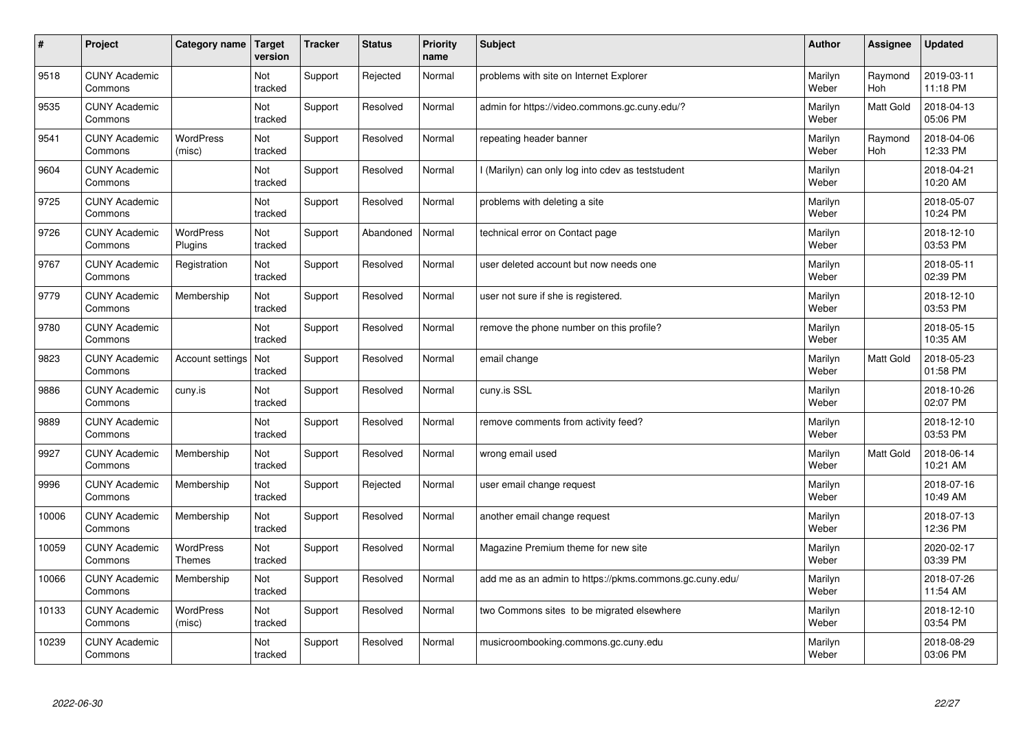| $\vert$ # | Project                         | Category name                     | <b>Target</b><br>version | <b>Tracker</b> | <b>Status</b> | Priority<br>name | <b>Subject</b>                                          | <b>Author</b>    | Assignee       | <b>Updated</b>         |
|-----------|---------------------------------|-----------------------------------|--------------------------|----------------|---------------|------------------|---------------------------------------------------------|------------------|----------------|------------------------|
| 9518      | <b>CUNY Academic</b><br>Commons |                                   | Not<br>tracked           | Support        | Rejected      | Normal           | problems with site on Internet Explorer                 | Marilyn<br>Weber | Raymond<br>Hoh | 2019-03-11<br>11:18 PM |
| 9535      | <b>CUNY Academic</b><br>Commons |                                   | Not<br>tracked           | Support        | Resolved      | Normal           | admin for https://video.commons.gc.cuny.edu/?           | Marilyn<br>Weber | Matt Gold      | 2018-04-13<br>05:06 PM |
| 9541      | <b>CUNY Academic</b><br>Commons | <b>WordPress</b><br>(misc)        | Not<br>tracked           | Support        | Resolved      | Normal           | repeating header banner                                 | Marilyn<br>Weber | Raymond<br>Hoh | 2018-04-06<br>12:33 PM |
| 9604      | <b>CUNY Academic</b><br>Commons |                                   | Not<br>tracked           | Support        | Resolved      | Normal           | (Marilyn) can only log into cdev as teststudent         | Marilyn<br>Weber |                | 2018-04-21<br>10:20 AM |
| 9725      | <b>CUNY Academic</b><br>Commons |                                   | Not<br>tracked           | Support        | Resolved      | Normal           | problems with deleting a site                           | Marilyn<br>Weber |                | 2018-05-07<br>10:24 PM |
| 9726      | <b>CUNY Academic</b><br>Commons | <b>WordPress</b><br>Plugins       | Not<br>tracked           | Support        | Abandoned     | Normal           | technical error on Contact page                         | Marilyn<br>Weber |                | 2018-12-10<br>03:53 PM |
| 9767      | <b>CUNY Academic</b><br>Commons | Registration                      | Not<br>tracked           | Support        | Resolved      | Normal           | user deleted account but now needs one                  | Marilyn<br>Weber |                | 2018-05-11<br>02:39 PM |
| 9779      | <b>CUNY Academic</b><br>Commons | Membership                        | Not<br>tracked           | Support        | Resolved      | Normal           | user not sure if she is registered.                     | Marilyn<br>Weber |                | 2018-12-10<br>03:53 PM |
| 9780      | <b>CUNY Academic</b><br>Commons |                                   | Not<br>tracked           | Support        | Resolved      | Normal           | remove the phone number on this profile?                | Marilyn<br>Weber |                | 2018-05-15<br>10:35 AM |
| 9823      | <b>CUNY Academic</b><br>Commons | Account settings                  | Not<br>tracked           | Support        | Resolved      | Normal           | email change                                            | Marilyn<br>Weber | Matt Gold      | 2018-05-23<br>01:58 PM |
| 9886      | <b>CUNY Academic</b><br>Commons | cuny.is                           | Not<br>tracked           | Support        | Resolved      | Normal           | cuny.is SSL                                             | Marilyn<br>Weber |                | 2018-10-26<br>02:07 PM |
| 9889      | <b>CUNY Academic</b><br>Commons |                                   | Not<br>tracked           | Support        | Resolved      | Normal           | remove comments from activity feed?                     | Marilyn<br>Weber |                | 2018-12-10<br>03:53 PM |
| 9927      | <b>CUNY Academic</b><br>Commons | Membership                        | Not<br>tracked           | Support        | Resolved      | Normal           | wrong email used                                        | Marilyn<br>Weber | Matt Gold      | 2018-06-14<br>10:21 AM |
| 9996      | <b>CUNY Academic</b><br>Commons | Membership                        | Not<br>tracked           | Support        | Rejected      | Normal           | user email change request                               | Marilyn<br>Weber |                | 2018-07-16<br>10:49 AM |
| 10006     | <b>CUNY Academic</b><br>Commons | Membership                        | Not<br>tracked           | Support        | Resolved      | Normal           | another email change request                            | Marilyn<br>Weber |                | 2018-07-13<br>12:36 PM |
| 10059     | <b>CUNY Academic</b><br>Commons | <b>WordPress</b><br><b>Themes</b> | Not<br>tracked           | Support        | Resolved      | Normal           | Magazine Premium theme for new site                     | Marilyn<br>Weber |                | 2020-02-17<br>03:39 PM |
| 10066     | <b>CUNY Academic</b><br>Commons | Membership                        | Not<br>tracked           | Support        | Resolved      | Normal           | add me as an admin to https://pkms.commons.gc.cuny.edu/ | Marilyn<br>Weber |                | 2018-07-26<br>11:54 AM |
| 10133     | <b>CUNY Academic</b><br>Commons | WordPress<br>(misc)               | Not<br>tracked           | Support        | Resolved      | Normal           | two Commons sites to be migrated elsewhere              | Marilyn<br>Weber |                | 2018-12-10<br>03:54 PM |
| 10239     | <b>CUNY Academic</b><br>Commons |                                   | Not<br>tracked           | Support        | Resolved      | Normal           | musicroombooking.commons.gc.cuny.edu                    | Marilyn<br>Weber |                | 2018-08-29<br>03:06 PM |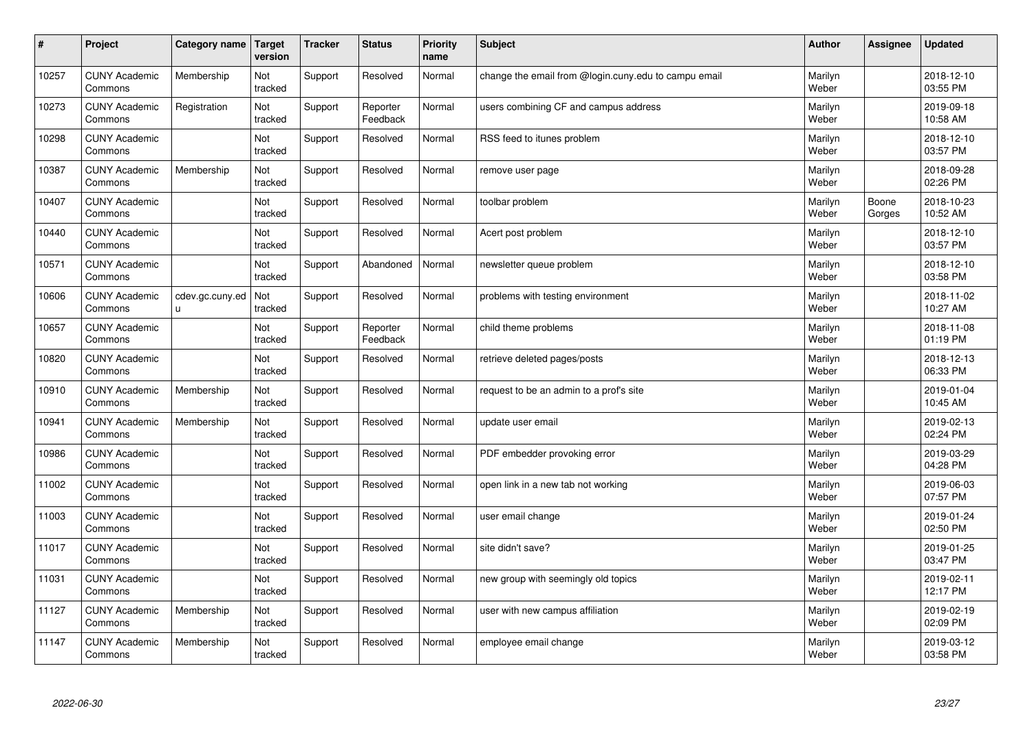| $\vert$ # | Project                         | Category name                   | <b>Target</b><br>version | <b>Tracker</b> | <b>Status</b>        | <b>Priority</b><br>name | Subject                                              | <b>Author</b>    | Assignee        | <b>Updated</b>         |
|-----------|---------------------------------|---------------------------------|--------------------------|----------------|----------------------|-------------------------|------------------------------------------------------|------------------|-----------------|------------------------|
| 10257     | <b>CUNY Academic</b><br>Commons | Membership                      | Not<br>tracked           | Support        | Resolved             | Normal                  | change the email from @login.cuny.edu to campu email | Marilyn<br>Weber |                 | 2018-12-10<br>03:55 PM |
| 10273     | <b>CUNY Academic</b><br>Commons | Registration                    | Not<br>tracked           | Support        | Reporter<br>Feedback | Normal                  | users combining CF and campus address                | Marilyn<br>Weber |                 | 2019-09-18<br>10:58 AM |
| 10298     | <b>CUNY Academic</b><br>Commons |                                 | Not<br>tracked           | Support        | Resolved             | Normal                  | RSS feed to itunes problem                           | Marilyn<br>Weber |                 | 2018-12-10<br>03:57 PM |
| 10387     | <b>CUNY Academic</b><br>Commons | Membership                      | Not<br>tracked           | Support        | Resolved             | Normal                  | remove user page                                     | Marilyn<br>Weber |                 | 2018-09-28<br>02:26 PM |
| 10407     | <b>CUNY Academic</b><br>Commons |                                 | <b>Not</b><br>tracked    | Support        | Resolved             | Normal                  | toolbar problem                                      | Marilyn<br>Weber | Boone<br>Gorges | 2018-10-23<br>10:52 AM |
| 10440     | <b>CUNY Academic</b><br>Commons |                                 | Not<br>tracked           | Support        | Resolved             | Normal                  | Acert post problem                                   | Marilyn<br>Weber |                 | 2018-12-10<br>03:57 PM |
| 10571     | <b>CUNY Academic</b><br>Commons |                                 | Not<br>tracked           | Support        | Abandoned            | Normal                  | newsletter queue problem                             | Marilyn<br>Weber |                 | 2018-12-10<br>03:58 PM |
| 10606     | <b>CUNY Academic</b><br>Commons | cdev.gc.cuny.ed<br>$\mathsf{u}$ | Not<br>tracked           | Support        | Resolved             | Normal                  | problems with testing environment                    | Marilyn<br>Weber |                 | 2018-11-02<br>10:27 AM |
| 10657     | <b>CUNY Academic</b><br>Commons |                                 | Not<br>tracked           | Support        | Reporter<br>Feedback | Normal                  | child theme problems                                 | Marilyn<br>Weber |                 | 2018-11-08<br>01:19 PM |
| 10820     | <b>CUNY Academic</b><br>Commons |                                 | Not<br>tracked           | Support        | Resolved             | Normal                  | retrieve deleted pages/posts                         | Marilyn<br>Weber |                 | 2018-12-13<br>06:33 PM |
| 10910     | <b>CUNY Academic</b><br>Commons | Membership                      | Not<br>tracked           | Support        | Resolved             | Normal                  | request to be an admin to a prof's site              | Marilyn<br>Weber |                 | 2019-01-04<br>10:45 AM |
| 10941     | <b>CUNY Academic</b><br>Commons | Membership                      | Not<br>tracked           | Support        | Resolved             | Normal                  | update user email                                    | Marilyn<br>Weber |                 | 2019-02-13<br>02:24 PM |
| 10986     | <b>CUNY Academic</b><br>Commons |                                 | Not<br>tracked           | Support        | Resolved             | Normal                  | PDF embedder provoking error                         | Marilyn<br>Weber |                 | 2019-03-29<br>04:28 PM |
| 11002     | <b>CUNY Academic</b><br>Commons |                                 | Not<br>tracked           | Support        | Resolved             | Normal                  | open link in a new tab not working                   | Marilyn<br>Weber |                 | 2019-06-03<br>07:57 PM |
| 11003     | <b>CUNY Academic</b><br>Commons |                                 | Not<br>tracked           | Support        | Resolved             | Normal                  | user email change                                    | Marilyn<br>Weber |                 | 2019-01-24<br>02:50 PM |
| 11017     | <b>CUNY Academic</b><br>Commons |                                 | Not<br>tracked           | Support        | Resolved             | Normal                  | site didn't save?                                    | Marilyn<br>Weber |                 | 2019-01-25<br>03:47 PM |
| 11031     | <b>CUNY Academic</b><br>Commons |                                 | Not<br>tracked           | Support        | Resolved             | Normal                  | new group with seemingly old topics                  | Marilyn<br>Weber |                 | 2019-02-11<br>12:17 PM |
| 11127     | <b>CUNY Academic</b><br>Commons | Membership                      | Not<br>tracked           | Support        | Resolved             | Normal                  | user with new campus affiliation                     | Marilyn<br>Weber |                 | 2019-02-19<br>02:09 PM |
| 11147     | <b>CUNY Academic</b><br>Commons | Membership                      | Not<br>tracked           | Support        | Resolved             | Normal                  | employee email change                                | Marilyn<br>Weber |                 | 2019-03-12<br>03:58 PM |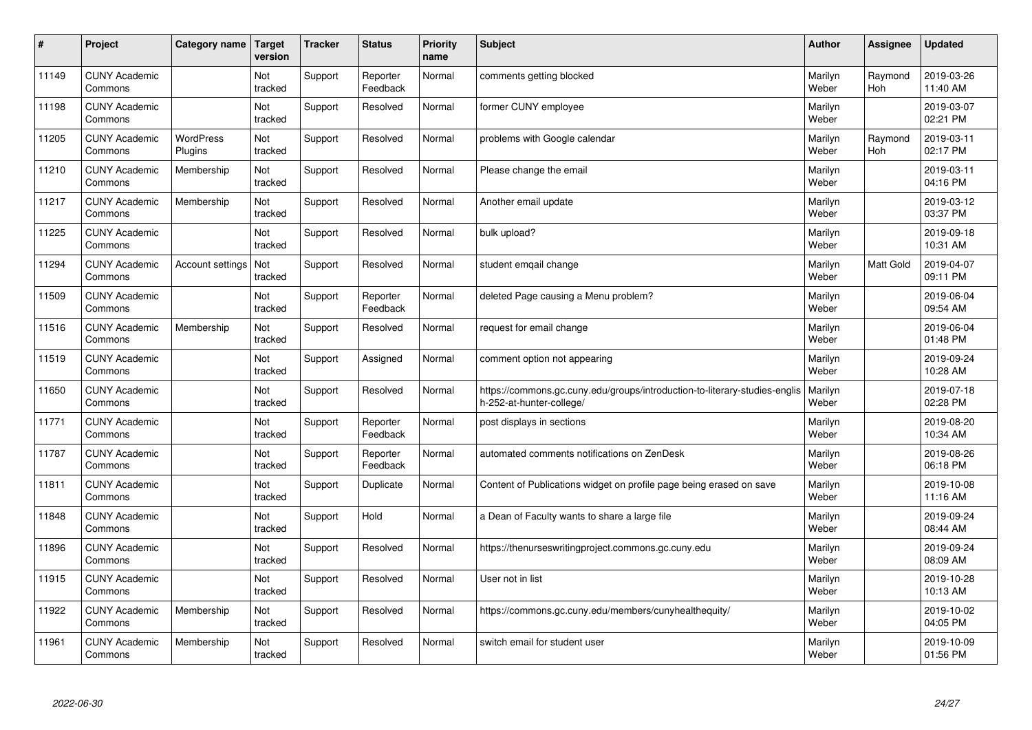| #     | Project                         | Category name               | Target<br>version | <b>Tracker</b> | <b>Status</b>        | <b>Priority</b><br>name | <b>Subject</b>                                                                                         | <b>Author</b>    | Assignee              | <b>Updated</b>         |
|-------|---------------------------------|-----------------------------|-------------------|----------------|----------------------|-------------------------|--------------------------------------------------------------------------------------------------------|------------------|-----------------------|------------------------|
| 11149 | <b>CUNY Academic</b><br>Commons |                             | Not<br>tracked    | Support        | Reporter<br>Feedback | Normal                  | comments getting blocked                                                                               | Marilyn<br>Weber | Raymond<br><b>Hoh</b> | 2019-03-26<br>11:40 AM |
| 11198 | <b>CUNY Academic</b><br>Commons |                             | Not<br>tracked    | Support        | Resolved             | Normal                  | former CUNY employee                                                                                   | Marilyn<br>Weber |                       | 2019-03-07<br>02:21 PM |
| 11205 | <b>CUNY Academic</b><br>Commons | <b>WordPress</b><br>Plugins | Not<br>tracked    | Support        | Resolved             | Normal                  | problems with Google calendar                                                                          | Marilyn<br>Weber | Raymond<br>Hoh        | 2019-03-11<br>02:17 PM |
| 11210 | <b>CUNY Academic</b><br>Commons | Membership                  | Not<br>tracked    | Support        | Resolved             | Normal                  | Please change the email                                                                                | Marilyn<br>Weber |                       | 2019-03-11<br>04:16 PM |
| 11217 | <b>CUNY Academic</b><br>Commons | Membership                  | Not<br>tracked    | Support        | Resolved             | Normal                  | Another email update                                                                                   | Marilyn<br>Weber |                       | 2019-03-12<br>03:37 PM |
| 11225 | <b>CUNY Academic</b><br>Commons |                             | Not<br>tracked    | Support        | Resolved             | Normal                  | bulk upload?                                                                                           | Marilyn<br>Weber |                       | 2019-09-18<br>10:31 AM |
| 11294 | <b>CUNY Academic</b><br>Commons | Account settings            | Not<br>tracked    | Support        | Resolved             | Normal                  | student emgail change                                                                                  | Marilyn<br>Weber | <b>Matt Gold</b>      | 2019-04-07<br>09:11 PM |
| 11509 | <b>CUNY Academic</b><br>Commons |                             | Not<br>tracked    | Support        | Reporter<br>Feedback | Normal                  | deleted Page causing a Menu problem?                                                                   | Marilyn<br>Weber |                       | 2019-06-04<br>09:54 AM |
| 11516 | <b>CUNY Academic</b><br>Commons | Membership                  | Not<br>tracked    | Support        | Resolved             | Normal                  | request for email change                                                                               | Marilyn<br>Weber |                       | 2019-06-04<br>01:48 PM |
| 11519 | <b>CUNY Academic</b><br>Commons |                             | Not<br>tracked    | Support        | Assigned             | Normal                  | comment option not appearing                                                                           | Marilyn<br>Weber |                       | 2019-09-24<br>10:28 AM |
| 11650 | <b>CUNY Academic</b><br>Commons |                             | Not<br>tracked    | Support        | Resolved             | Normal                  | https://commons.gc.cuny.edu/groups/introduction-to-literary-studies-englis<br>h-252-at-hunter-college/ | Marilyn<br>Weber |                       | 2019-07-18<br>02:28 PM |
| 11771 | <b>CUNY Academic</b><br>Commons |                             | Not<br>tracked    | Support        | Reporter<br>Feedback | Normal                  | post displays in sections                                                                              | Marilyn<br>Weber |                       | 2019-08-20<br>10:34 AM |
| 11787 | <b>CUNY Academic</b><br>Commons |                             | Not<br>tracked    | Support        | Reporter<br>Feedback | Normal                  | automated comments notifications on ZenDesk                                                            | Marilyn<br>Weber |                       | 2019-08-26<br>06:18 PM |
| 11811 | <b>CUNY Academic</b><br>Commons |                             | Not<br>tracked    | Support        | Duplicate            | Normal                  | Content of Publications widget on profile page being erased on save                                    | Marilyn<br>Weber |                       | 2019-10-08<br>11:16 AM |
| 11848 | <b>CUNY Academic</b><br>Commons |                             | Not<br>tracked    | Support        | Hold                 | Normal                  | a Dean of Faculty wants to share a large file                                                          | Marilyn<br>Weber |                       | 2019-09-24<br>08:44 AM |
| 11896 | <b>CUNY Academic</b><br>Commons |                             | Not<br>tracked    | Support        | Resolved             | Normal                  | https://thenurseswritingproject.commons.gc.cuny.edu                                                    | Marilyn<br>Weber |                       | 2019-09-24<br>08:09 AM |
| 11915 | <b>CUNY Academic</b><br>Commons |                             | Not<br>tracked    | Support        | Resolved             | Normal                  | User not in list                                                                                       | Marilyn<br>Weber |                       | 2019-10-28<br>10:13 AM |
| 11922 | <b>CUNY Academic</b><br>Commons | Membership                  | Not<br>tracked    | Support        | Resolved             | Normal                  | https://commons.gc.cuny.edu/members/cunyhealthequity/                                                  | Marilyn<br>Weber |                       | 2019-10-02<br>04:05 PM |
| 11961 | <b>CUNY Academic</b><br>Commons | Membership                  | Not<br>tracked    | Support        | Resolved             | Normal                  | switch email for student user                                                                          | Marilyn<br>Weber |                       | 2019-10-09<br>01:56 PM |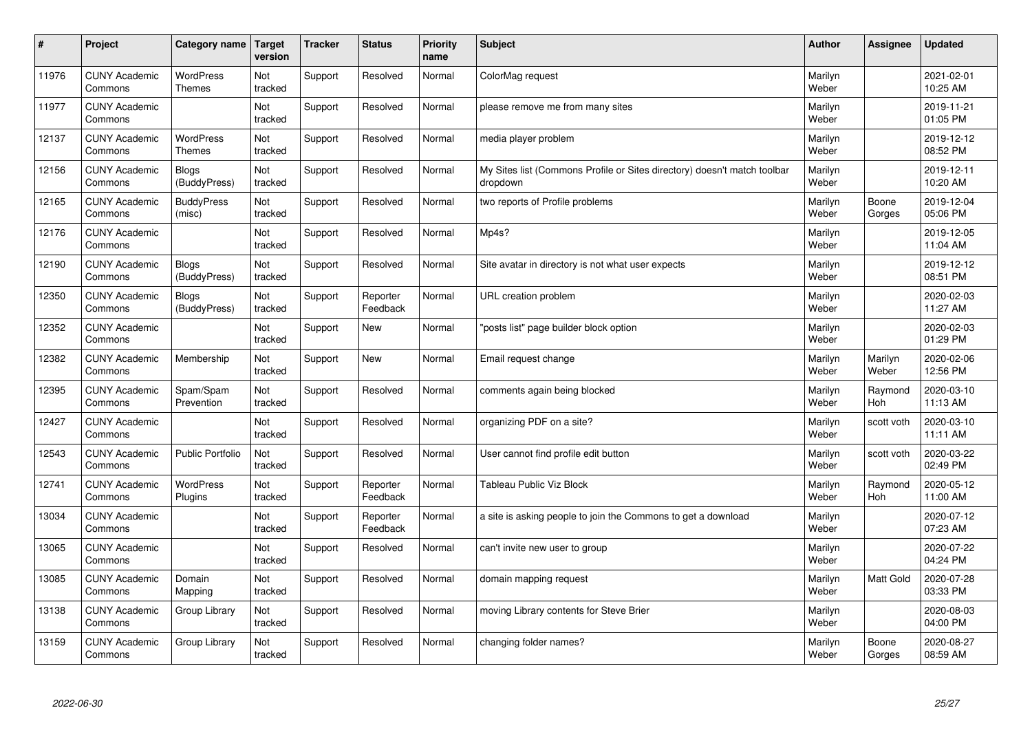| $\sharp$ | Project                         | Category name                | <b>Target</b><br>version | <b>Tracker</b> | <b>Status</b>        | <b>Priority</b><br>name | <b>Subject</b>                                                                       | <b>Author</b>    | <b>Assignee</b>  | <b>Updated</b>         |
|----------|---------------------------------|------------------------------|--------------------------|----------------|----------------------|-------------------------|--------------------------------------------------------------------------------------|------------------|------------------|------------------------|
| 11976    | <b>CUNY Academic</b><br>Commons | WordPress<br><b>Themes</b>   | Not<br>tracked           | Support        | Resolved             | Normal                  | ColorMag request                                                                     | Marilyn<br>Weber |                  | 2021-02-01<br>10:25 AM |
| 11977    | <b>CUNY Academic</b><br>Commons |                              | Not<br>tracked           | Support        | Resolved             | Normal                  | please remove me from many sites                                                     | Marilyn<br>Weber |                  | 2019-11-21<br>01:05 PM |
| 12137    | <b>CUNY Academic</b><br>Commons | <b>WordPress</b><br>Themes   | Not<br>tracked           | Support        | Resolved             | Normal                  | media player problem                                                                 | Marilyn<br>Weber |                  | 2019-12-12<br>08:52 PM |
| 12156    | <b>CUNY Academic</b><br>Commons | <b>Blogs</b><br>(BuddyPress) | Not<br>tracked           | Support        | Resolved             | Normal                  | My Sites list (Commons Profile or Sites directory) doesn't match toolbar<br>dropdown | Marilyn<br>Weber |                  | 2019-12-11<br>10:20 AM |
| 12165    | <b>CUNY Academic</b><br>Commons | <b>BuddyPress</b><br>(misc)  | Not<br>tracked           | Support        | Resolved             | Normal                  | two reports of Profile problems                                                      | Marilyn<br>Weber | Boone<br>Gorges  | 2019-12-04<br>05:06 PM |
| 12176    | <b>CUNY Academic</b><br>Commons |                              | Not<br>tracked           | Support        | Resolved             | Normal                  | Mp4s?                                                                                | Marilyn<br>Weber |                  | 2019-12-05<br>11:04 AM |
| 12190    | <b>CUNY Academic</b><br>Commons | <b>Blogs</b><br>(BuddyPress) | Not<br>tracked           | Support        | Resolved             | Normal                  | Site avatar in directory is not what user expects                                    | Marilyn<br>Weber |                  | 2019-12-12<br>08:51 PM |
| 12350    | <b>CUNY Academic</b><br>Commons | Blogs<br>(BuddyPress)        | Not<br>tracked           | Support        | Reporter<br>Feedback | Normal                  | URL creation problem                                                                 | Marilyn<br>Weber |                  | 2020-02-03<br>11:27 AM |
| 12352    | <b>CUNY Academic</b><br>Commons |                              | Not<br>tracked           | Support        | <b>New</b>           | Normal                  | "posts list" page builder block option                                               | Marilyn<br>Weber |                  | 2020-02-03<br>01:29 PM |
| 12382    | <b>CUNY Academic</b><br>Commons | Membership                   | Not<br>tracked           | Support        | <b>New</b>           | Normal                  | Email request change                                                                 | Marilyn<br>Weber | Marilyn<br>Weber | 2020-02-06<br>12:56 PM |
| 12395    | <b>CUNY Academic</b><br>Commons | Spam/Spam<br>Prevention      | Not<br>tracked           | Support        | Resolved             | Normal                  | comments again being blocked                                                         | Marilyn<br>Weber | Raymond<br>Hoh   | 2020-03-10<br>11:13 AM |
| 12427    | <b>CUNY Academic</b><br>Commons |                              | Not<br>tracked           | Support        | Resolved             | Normal                  | organizing PDF on a site?                                                            | Marilyn<br>Weber | scott voth       | 2020-03-10<br>11:11 AM |
| 12543    | <b>CUNY Academic</b><br>Commons | <b>Public Portfolio</b>      | Not<br>tracked           | Support        | Resolved             | Normal                  | User cannot find profile edit button                                                 | Marilyn<br>Weber | scott voth       | 2020-03-22<br>02:49 PM |
| 12741    | <b>CUNY Academic</b><br>Commons | WordPress<br>Plugins         | Not<br>tracked           | Support        | Reporter<br>Feedback | Normal                  | Tableau Public Viz Block                                                             | Marilyn<br>Weber | Raymond<br>Hoh   | 2020-05-12<br>11:00 AM |
| 13034    | <b>CUNY Academic</b><br>Commons |                              | Not<br>tracked           | Support        | Reporter<br>Feedback | Normal                  | a site is asking people to join the Commons to get a download                        | Marilyn<br>Weber |                  | 2020-07-12<br>07:23 AM |
| 13065    | <b>CUNY Academic</b><br>Commons |                              | <b>Not</b><br>tracked    | Support        | Resolved             | Normal                  | can't invite new user to group                                                       | Marilyn<br>Weber |                  | 2020-07-22<br>04:24 PM |
| 13085    | <b>CUNY Academic</b><br>Commons | Domain<br>Mapping            | Not<br>tracked           | Support        | Resolved             | Normal                  | domain mapping request                                                               | Marilyn<br>Weber | Matt Gold        | 2020-07-28<br>03:33 PM |
| 13138    | <b>CUNY Academic</b><br>Commons | Group Library                | Not<br>tracked           | Support        | Resolved             | Normal                  | moving Library contents for Steve Brier                                              | Marilyn<br>Weber |                  | 2020-08-03<br>04:00 PM |
| 13159    | <b>CUNY Academic</b><br>Commons | Group Library                | Not<br>tracked           | Support        | Resolved             | Normal                  | changing folder names?                                                               | Marilyn<br>Weber | Boone<br>Gorges  | 2020-08-27<br>08:59 AM |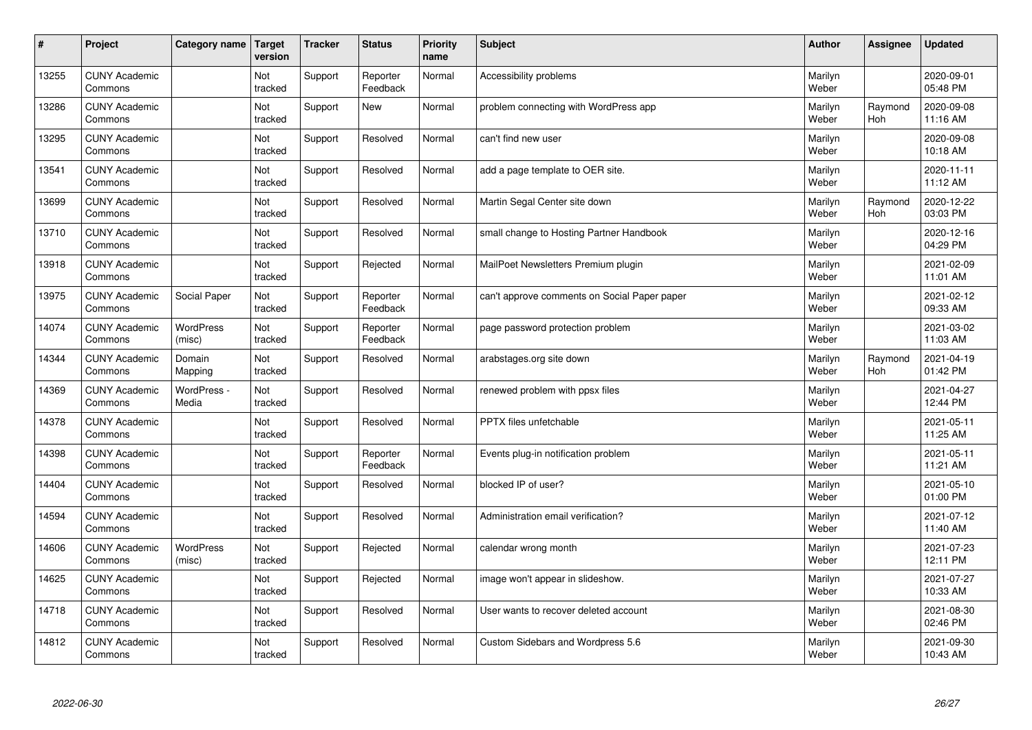| $\sharp$ | Project                         | Category name        | <b>Target</b><br>version | <b>Tracker</b> | <b>Status</b>        | Priority<br>name | <b>Subject</b>                               | <b>Author</b>    | <b>Assignee</b> | <b>Updated</b>         |
|----------|---------------------------------|----------------------|--------------------------|----------------|----------------------|------------------|----------------------------------------------|------------------|-----------------|------------------------|
| 13255    | <b>CUNY Academic</b><br>Commons |                      | Not<br>tracked           | Support        | Reporter<br>Feedback | Normal           | Accessibility problems                       | Marilyn<br>Weber |                 | 2020-09-01<br>05:48 PM |
| 13286    | <b>CUNY Academic</b><br>Commons |                      | Not<br>tracked           | Support        | New                  | Normal           | problem connecting with WordPress app        | Marilyn<br>Weber | Raymond<br>Hoh  | 2020-09-08<br>11:16 AM |
| 13295    | <b>CUNY Academic</b><br>Commons |                      | Not<br>tracked           | Support        | Resolved             | Normal           | can't find new user                          | Marilyn<br>Weber |                 | 2020-09-08<br>10:18 AM |
| 13541    | <b>CUNY Academic</b><br>Commons |                      | Not<br>tracked           | Support        | Resolved             | Normal           | add a page template to OER site.             | Marilyn<br>Weber |                 | 2020-11-11<br>11:12 AM |
| 13699    | <b>CUNY Academic</b><br>Commons |                      | Not<br>tracked           | Support        | Resolved             | Normal           | Martin Segal Center site down                | Marilyn<br>Weber | Raymond<br>Hoh  | 2020-12-22<br>03:03 PM |
| 13710    | <b>CUNY Academic</b><br>Commons |                      | Not<br>tracked           | Support        | Resolved             | Normal           | small change to Hosting Partner Handbook     | Marilyn<br>Weber |                 | 2020-12-16<br>04:29 PM |
| 13918    | <b>CUNY Academic</b><br>Commons |                      | Not<br>tracked           | Support        | Rejected             | Normal           | MailPoet Newsletters Premium plugin          | Marilyn<br>Weber |                 | 2021-02-09<br>11:01 AM |
| 13975    | <b>CUNY Academic</b><br>Commons | Social Paper         | Not<br>tracked           | Support        | Reporter<br>Feedback | Normal           | can't approve comments on Social Paper paper | Marilyn<br>Weber |                 | 2021-02-12<br>09:33 AM |
| 14074    | <b>CUNY Academic</b><br>Commons | WordPress<br>(misc)  | Not<br>tracked           | Support        | Reporter<br>Feedback | Normal           | page password protection problem             | Marilyn<br>Weber |                 | 2021-03-02<br>11:03 AM |
| 14344    | <b>CUNY Academic</b><br>Commons | Domain<br>Mapping    | Not<br>tracked           | Support        | Resolved             | Normal           | arabstages.org site down                     | Marilyn<br>Weber | Raymond<br>Hoh  | 2021-04-19<br>01:42 PM |
| 14369    | <b>CUNY Academic</b><br>Commons | WordPress -<br>Media | Not<br>tracked           | Support        | Resolved             | Normal           | renewed problem with ppsx files              | Marilyn<br>Weber |                 | 2021-04-27<br>12:44 PM |
| 14378    | <b>CUNY Academic</b><br>Commons |                      | Not<br>tracked           | Support        | Resolved             | Normal           | PPTX files unfetchable                       | Marilyn<br>Weber |                 | 2021-05-11<br>11:25 AM |
| 14398    | <b>CUNY Academic</b><br>Commons |                      | Not<br>tracked           | Support        | Reporter<br>Feedback | Normal           | Events plug-in notification problem          | Marilyn<br>Weber |                 | 2021-05-11<br>11:21 AM |
| 14404    | <b>CUNY Academic</b><br>Commons |                      | Not<br>tracked           | Support        | Resolved             | Normal           | blocked IP of user?                          | Marilyn<br>Weber |                 | 2021-05-10<br>01:00 PM |
| 14594    | <b>CUNY Academic</b><br>Commons |                      | Not<br>tracked           | Support        | Resolved             | Normal           | Administration email verification?           | Marilyn<br>Weber |                 | 2021-07-12<br>11:40 AM |
| 14606    | <b>CUNY Academic</b><br>Commons | WordPress<br>(misc)  | Not<br>tracked           | Support        | Rejected             | Normal           | calendar wrong month                         | Marilyn<br>Weber |                 | 2021-07-23<br>12:11 PM |
| 14625    | <b>CUNY Academic</b><br>Commons |                      | Not<br>tracked           | Support        | Rejected             | Normal           | image won't appear in slideshow.             | Marilyn<br>Weber |                 | 2021-07-27<br>10:33 AM |
| 14718    | <b>CUNY Academic</b><br>Commons |                      | Not<br>tracked           | Support        | Resolved             | Normal           | User wants to recover deleted account        | Marilyn<br>Weber |                 | 2021-08-30<br>02:46 PM |
| 14812    | <b>CUNY Academic</b><br>Commons |                      | Not<br>tracked           | Support        | Resolved             | Normal           | Custom Sidebars and Wordpress 5.6            | Marilyn<br>Weber |                 | 2021-09-30<br>10:43 AM |